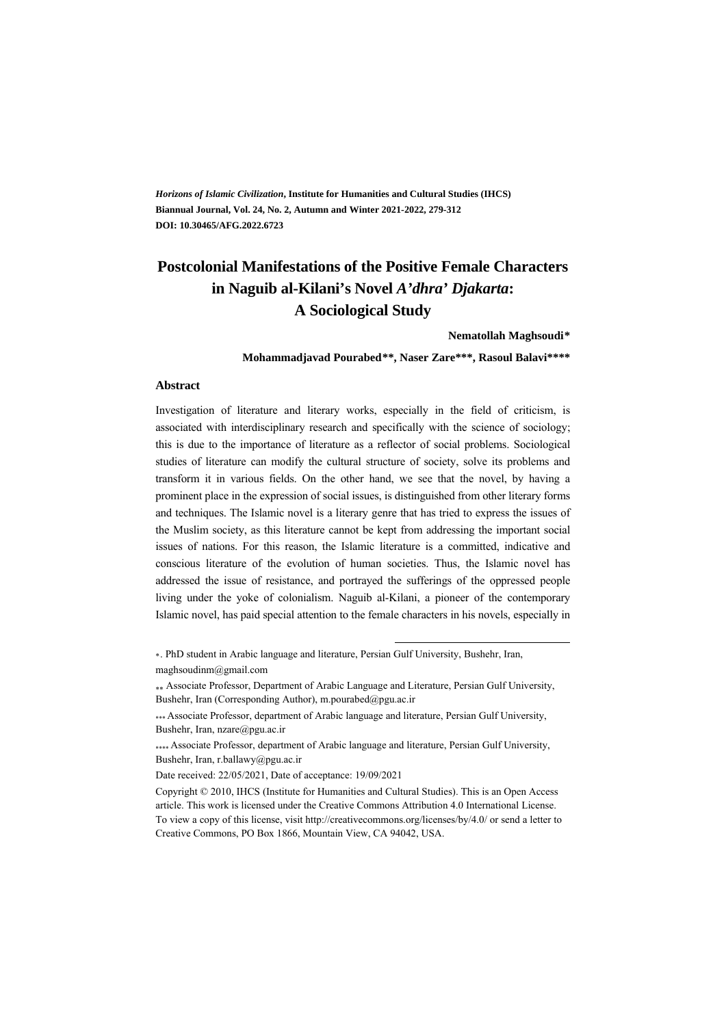*Horizons of Islamic Civilization***, Institute for Humanities and Cultural Studies (IHCS) Biannual Journal, Vol. 24, No. 2, Autumn and Winter 2021-2022, 279-312 DOI: 10.30465/AFG.2022.6723** 

# **Postcolonial Manifestations of the Positive Female Characters in Naguib al-Kilani's Novel** *A'dhra' Djakarta***: A Sociological Study**

**Nematollah Maghsoudi\*\***

**Mohammadjavad Pourabed\*\*† , Naser Zare\*\*\*, Rasoul Balavi\*\*\*\*** 

#### **Abstract**

Investigation of literature and literary works, especially in the field of criticism, is associated with interdisciplinary research and specifically with the science of sociology; this is due to the importance of literature as a reflector of social problems. Sociological studies of literature can modify the cultural structure of society, solve its problems and transform it in various fields. On the other hand, we see that the novel, by having a prominent place in the expression of social issues, is distinguished from other literary forms and techniques. The Islamic novel is a literary genre that has tried to express the issues of the Muslim society, as this literature cannot be kept from addressing the important social issues of nations. For this reason, the Islamic literature is a committed, indicative and conscious literature of the evolution of human societies. Thus, the Islamic novel has addressed the issue of resistance, and portrayed the sufferings of the oppressed people living under the yoke of colonialism. Naguib al-Kilani, a pioneer of the contemporary Islamic novel, has paid special attention to the female characters in his novels, especially in

\*\*. PhD student in Arabic language and literature, Persian Gulf University, Bushehr, Iran, maghsoudinm@gmail.com

 Associate Professor, Department of Arabic Language and Literature, Persian Gulf University, Bushehr, Iran (Corresponding Author), m.pourabed@pgu.ac.ir

.

 Associate Professor, department of Arabic language and literature, Persian Gulf University, Bushehr, Iran, nzare@pgu.ac.ir

 Associate Professor, department of Arabic language and literature, Persian Gulf University, Bushehr, Iran, r.ballawy@pgu.ac.ir

Date received: 22/05/2021, Date of acceptance: 19/09/2021

Copyright © 2010, IHCS (Institute for Humanities and Cultural Studies). This is an Open Access article. This work is licensed under the Creative Commons Attribution 4.0 International License. To view a copy of this license, visit http://creativecommons.org/licenses/by/4.0/ or send a letter to Creative Commons, PO Box 1866, Mountain View, CA 94042, USA.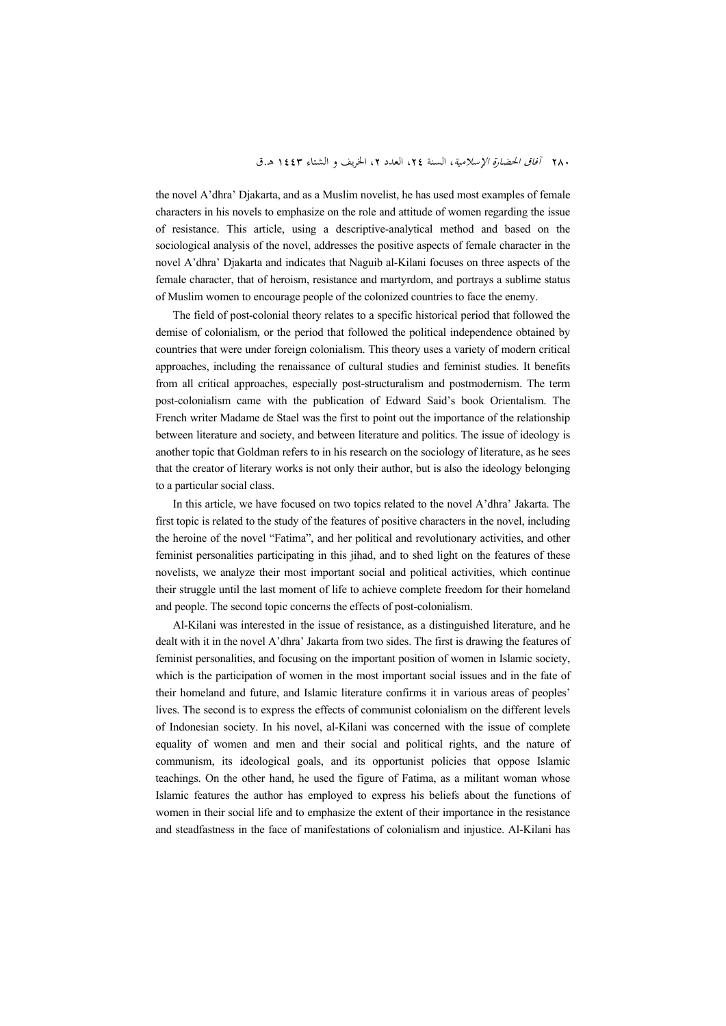the novel A'dhra' Djakarta, and as a Muslim novelist, he has used most examples of female characters in his novels to emphasize on the role and attitude of women regarding the issue of resistance. This article, using a descriptive-analytical method and based on the sociological analysis of the novel, addresses the positive aspects of female character in the novel A'dhra' Djakarta and indicates that Naguib al-Kilani focuses on three aspects of the female character, that of heroism, resistance and martyrdom, and portrays a sublime status of Muslim women to encourage people of the colonized countries to face the enemy.

The field of post-colonial theory relates to a specific historical period that followed the demise of colonialism, or the period that followed the political independence obtained by countries that were under foreign colonialism. This theory uses a variety of modern critical approaches, including the renaissance of cultural studies and feminist studies. It benefits from all critical approaches, especially post-structuralism and postmodernism. The term post-colonialism came with the publication of Edward Said's book Orientalism. The French writer Madame de Stael was the first to point out the importance of the relationship between literature and society, and between literature and politics. The issue of ideology is another topic that Goldman refers to in his research on the sociology of literature, as he sees that the creator of literary works is not only their author, but is also the ideology belonging to a particular social class.

In this article, we have focused on two topics related to the novel A'dhra' Jakarta. The first topic is related to the study of the features of positive characters in the novel, including the heroine of the novel "Fatima", and her political and revolutionary activities, and other feminist personalities participating in this jihad, and to shed light on the features of these novelists, we analyze their most important social and political activities, which continue their struggle until the last moment of life to achieve complete freedom for their homeland and people. The second topic concerns the effects of post-colonialism.

Al-Kilani was interested in the issue of resistance, as a distinguished literature, and he dealt with it in the novel A'dhra' Jakarta from two sides. The first is drawing the features of feminist personalities, and focusing on the important position of women in Islamic society, which is the participation of women in the most important social issues and in the fate of their homeland and future, and Islamic literature confirms it in various areas of peoples' lives. The second is to express the effects of communist colonialism on the different levels of Indonesian society. In his novel, al-Kilani was concerned with the issue of complete equality of women and men and their social and political rights, and the nature of communism, its ideological goals, and its opportunist policies that oppose Islamic teachings. On the other hand, he used the figure of Fatima, as a militant woman whose Islamic features the author has employed to express his beliefs about the functions of women in their social life and to emphasize the extent of their importance in the resistance and steadfastness in the face of manifestations of colonialism and injustice. Al-Kilani has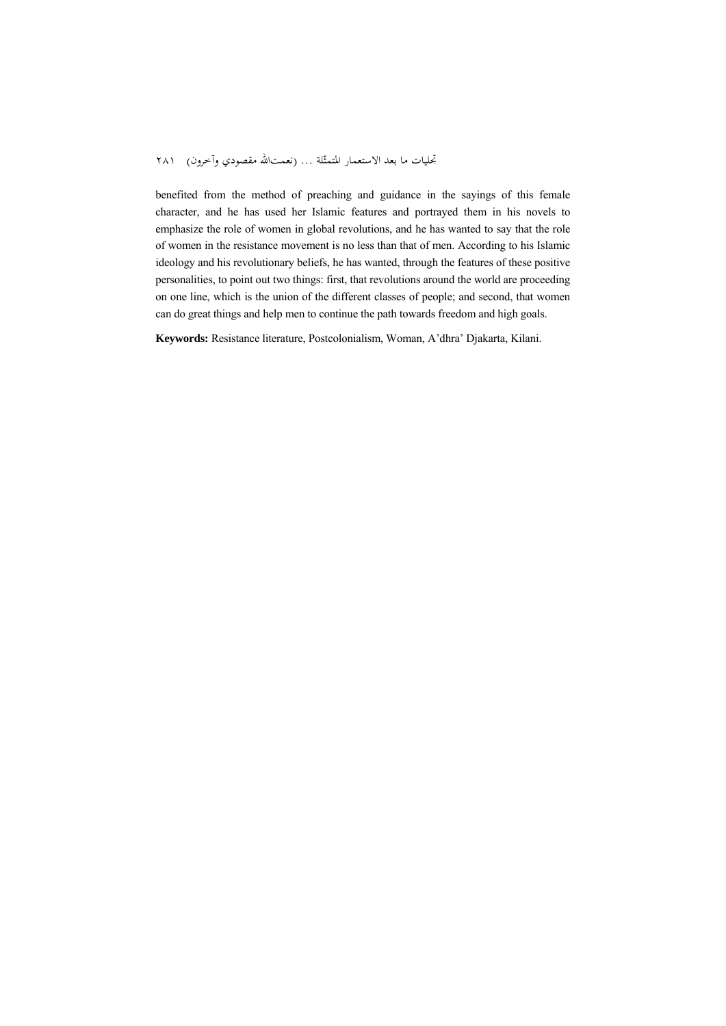#### تجليات ما بعد الاستعمار المتمثّلة ... (نعمتالله مقصودي وآخرون) ٢٨١

benefited from the method of preaching and guidance in the sayings of this female character, and he has used her Islamic features and portrayed them in his novels to emphasize the role of women in global revolutions, and he has wanted to say that the role of women in the resistance movement is no less than that of men. According to his Islamic ideology and his revolutionary beliefs, he has wanted, through the features of these positive personalities, to point out two things: first, that revolutions around the world are proceeding on one line, which is the union of the different classes of people; and second, that women can do great things and help men to continue the path towards freedom and high goals.

**Keywords:** Resistance literature, Postcolonialism, Woman, A'dhra' Djakarta, Kilani.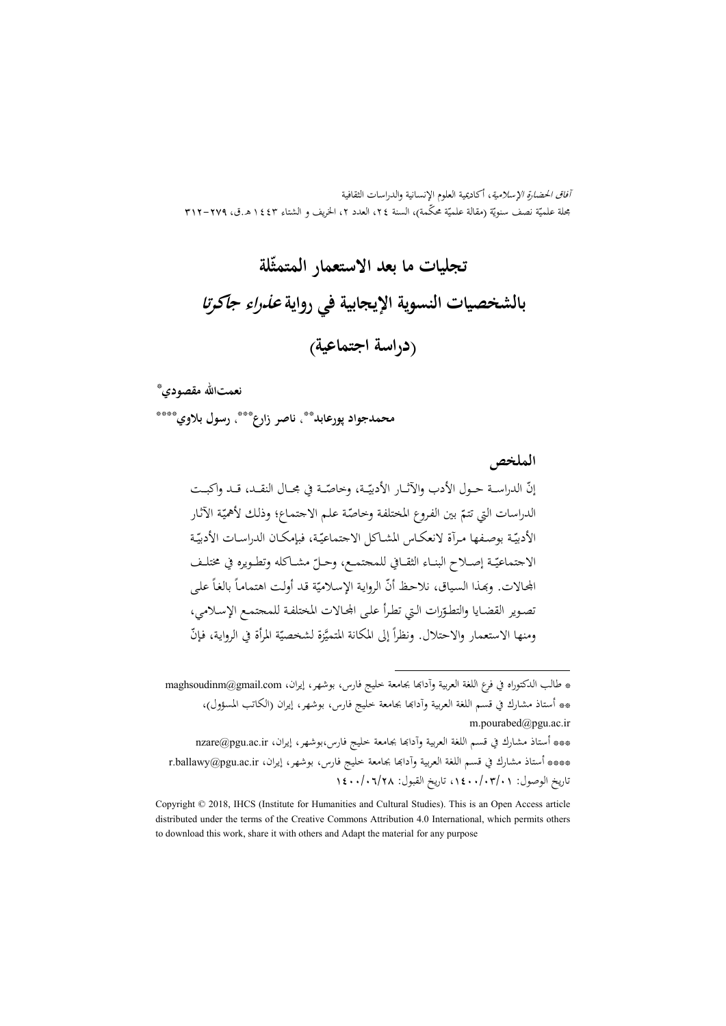آفاق الحضارة الإسلامية، أكاديمية العلوم الإنسانية والدراسات الثقافية بحلة علميّة نصف سنويّة (مقالة علميّة محكّمة)، السنة ٢٤، العدد ٢، الخريف و الشتاء ٤٤٣ هـ.ق، ٢٧٩–٣١٢<br>مجلة علميّة نصف سنويّة (مقالة علميّة محكّمة)، السنة ٢٤، العدد ٢، الخريف و الشتاء ٤٤٣ هـ.ق، ٢٧٩–٣١٢

# **تجليات ما بعد الاستعمار المتمث ّلة بالشخصيات النسوية الإيجابية في رواية عذراء جاکرتا (دراسة اجتماعية)**

‡ \* **نعمتاالله مقصودي**

، **ناصر زارع** \*\* **محمدجواد پورعابد** \*\*\*\* ، **رسول بلاوي** \*\*\*

**الملخص**

ّـــة في مجـــال النقـــد، قـــد واكبـــت ّـــة، وخاص إن الدراســـة حـــول الأدب والآثـــار الأدبي ّ ـة الآثـار ّ ّـة علـم الاجتمـاع؛ وذلـك لأهمي ّ بين الفـروع المختلفـة وخاص الدراسات التي تتم ّــة ّــة، فبإمكــان الدراســات الأدبي ّــة بوصــفها مــرآة لانعكــاس المشــاكل الاجتماعي الأدبي ّ الاجتماعي مشــاكله وتطــويره في مختلــف ّــة إصــلاح البنــاء الثقــ افي للمجتمــع، وحــل ًعلـى ً بالغـا ة قـد أولـت اهتمامـا ّ أن الروايـة الإسـلامي اجملـالات. وđـذا السـياق، نلاحـظ ّ ّرات الـتي تطـرأ علـى اجملـالات المختلفـة للمجتمـع الإسـلامي، تصـوير القضـايا والتطـو َّزة ل ّ ومنها الاستعمار والاحتلال. ونظرا ة المرأة في الروايـة، ّ فـإن ً إلى المكانة المتمي شخصي

.

<sup>\*</sup> طالب الدكتوراه في فرع اللغة العربية وآدابما بجامعة خليج فارس، بوشهر، إيران، maghsoudinm@gmail.com \*\* أستاذ مشارك في قسم اللغة العربية وآداđا بجامعة خليج فارس، بوشهر، إيران (الكاتب المسؤول)، m.pourabed@pgu.ac.ir

<sup>\*\*\*</sup> أستاذ مشارك في قسم اللغة العربية وآداđا بجامعة خليج فارس،بوشهر، إيران، ir.ac.pgu@nzare \*\*\*\* أستاذ مشارك في قسم اللغة العربية وآدابما بجامعة خليج فارس، بوشهر، إيران، r.ballawy@pgu.ac.ir تاريخ الوصول: ،1400/03/01 تاريخ القبول: 1400/06/28

Copyright © 2018, IHCS (Institute for Humanities and Cultural Studies). This is an Open Access article distributed under the terms of the Creative Commons Attribution 4.0 International, which permits others to download this work, share it with others and Adapt the material for any purpose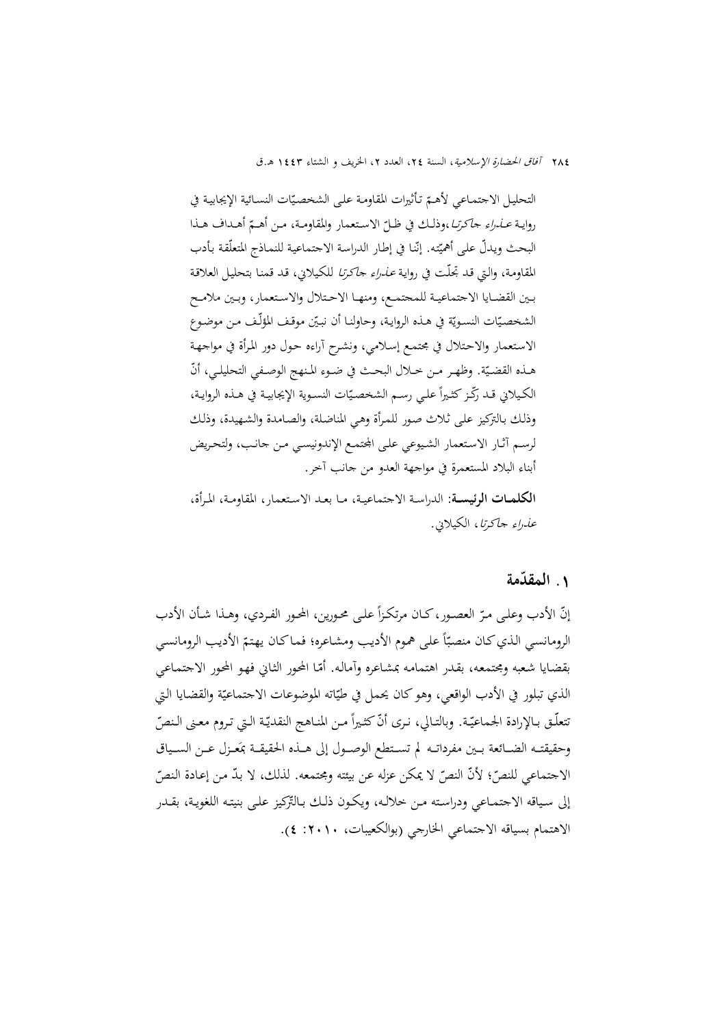التحليل الاجتماعي لأهـمّ تأثيرات المقاومـة علـى الشخصيّات النسـائية الإيجابيـة في روايـة *عــذراء جاكرتـا*،وذلـك في ظـلّ الاستعمار والمقاومـة، مـن أهـمّ أهـداف هـذا<br>. البحث ويدلّ على أهميّته. إنّنا في إطار الدراسة الاجتماعية للنمـاذج المتعلّقة بأدب المقاومـة، والـتي قـد تجلّـت في روايـة *عـذراء جـاكرتـا* للكـيلاني، قـد قمنـا بتحليـل العلاقـة بــين القضــايا الاجتماعيــة للمجتمــع، ومنهــا الاحــتلال والاســتعمار، وبــين ملامــح الشخصيّات النسويّة في هـذه الروايـة، وحاولنـا أن نبـيّن موقف المؤلّف مـن موضـوع الاسـتعمار والاحـتلال في مجتمـع إسـلامي، ونشـرح آراءه حـول دور المـرأة في مواجهـة هــذه القضـيّة. وظهـر مـن حــلال البحــث في ضـوء المنهج الوصـفي التحليلـي، أنّ الكيلاني قـد رڭـز كثـيراً علـي رسـم الشخصـيّات النسـوية الإيجابيـة في هــذه الروايـة، وذلـك بـالتركيز علـى ثـلاث صـور للمـرأة وهـي المناضـلة، والصـامدة والشـهيدة، وذلـك لرسـم آثـار الاستعمار الشيوعي علـى الجتمـع الإندونيسـى مـن جانب، ولتحريض أبناء البلاد المستعمرة في مواجهة العدو من جانب آخر.

**الكلمــات الرئيســة:** الدراســة الاجتماعيــة، مــا بعــد الاســتعمار، المقاومــة، المــرأة، عذراء جاكرتا، الكيلاني.

# **المقدمة ّ .**1

ًعلــى محــورين، المحــور الفــردي، وهــذا شــأن الأدب ّ العصــور،كــان مرتكــزا إن الأدب وعلــى مــر ّ الرومانسي الذي كـان منصبّاً على هموم الأديب ومشاعره؛ فماكـان يهتمّ الأديب الرومانسي بقضايا شعبه ومجتمعه، بقدر اهتمامه بمشاعره وأماله. أمّا المحور الثاني فهو المحور الاجتماعي الذي تبلور في الأدب الواقعي، وهو كان يحمل في طيّاته الموضوعات الاجتماعيّة والقضايا التي نتعلّــق بـالإرادة الجماعيّـة. وبالتـالي، نـرى أنّ كثـيراً مـن المنــاهـج النقديّـة الـتي تـروم معـنى الـنصّ وحقيقتــه الضــائعة بــين مفرداتــه لم تســتطع الوصــول إلى هــذه الحقيقــة بمَعــزل عــن الســياق الاجتماعي للنصّ؛ لأنّ النصّ لا يمكن عزله عن بيئته ومجتمعه. لذلك، لا بدّ من إعادة النصّ إلى سياقه الاجتمـاعي ودراسـته مـن خلالـه، ويكـون ذلـك بـالتّركيز علـى بنيتـه اللغويـة، بقـدر الاهتمام بسياقه الاجتماعي الخارجي (بوالكعيبات، :2010 4).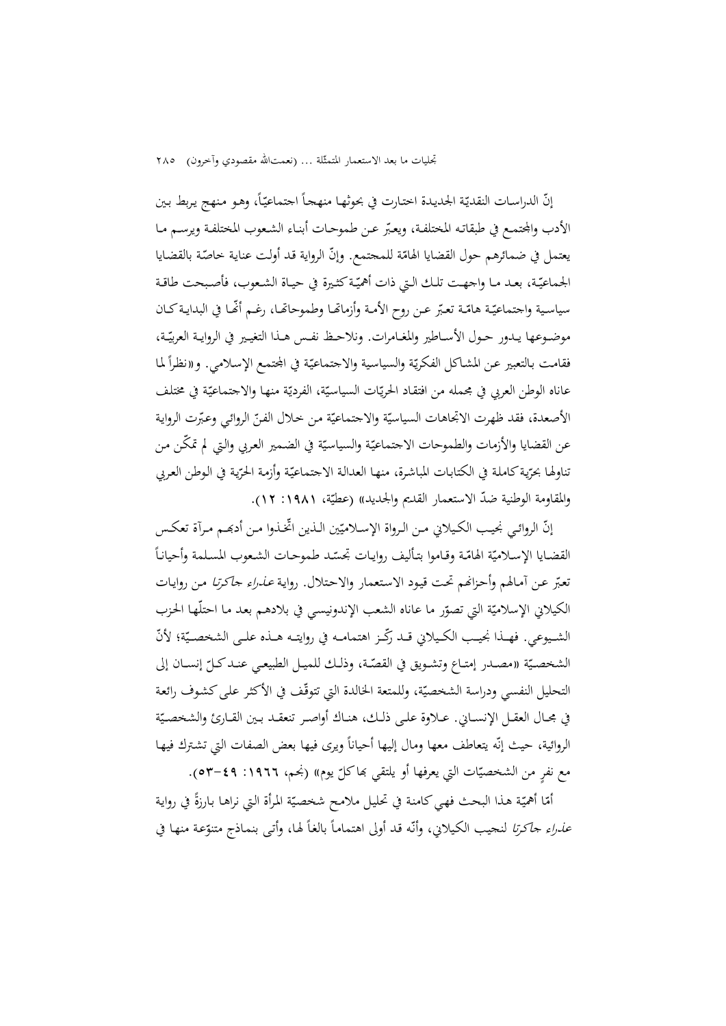تجليات ما بعد الاستعمار المتمثّلة ... (نعمتالله مقصودي وآخرون) ٢٨٥

إنّ الدراسات النقديّة الجديدة اختارت في بحوثها منهجاً اجتماعيّاً، وهـو منهج يربط بين الأدب والجتمـع في طبقاتـه المختلفـة، ويعبّر عـن طموحـات أبنـاء الشـعوب المختلفـة ويرسـم مـا يعتمل في ضمائرهم حول القضايا الهامّة للمحتمع. وإنّ الرواية قد أولت عناية خاصّة بالقضايا الجماعيّـة، بعـد مـا واجهـت تلـك الـتي ذات أهميّـة كثـيرة في حيـاة الشـعوب، فأصبحت طاقـة سياسية واجتماعيّة هامّة تعبّر عن روح الأمة وأزماقما وطموحاتّما، رغم أنَّما في البدايـة كـان موضــوعها يــدور حــول الأســاطير والمغــامرات. ونلاحــظ نفـس هــذا التغيــير في الروايــة العربيّــة، فقامت بالتعبير عن المشاكل الفكريّة والسياسية والاجتماعيّة في المحتمع الإسلامي. و«نظراً لما عاناه الوطن العربي في مجمله من افتقـاد الحريّات السياسيّة، الفرديّة منهـا والاجتماعيّة في مختلف<br>-الأصعدة، فقد ظهرت الاتجاهات السياسيّة والاحتماعيّة من خلال الفنّ الروائي وعبّرت الرواية عن القضايا والأزمات والطموحات الاجتماعيّة والسياسيّة في الضمير العربي والتي لم تمكّن من نناولها بحرّية كاملة في الكتابات المباشرة، منهـا العدالـة الاجتماعيّة وأزمـة الحرّية في الوطن العربي والمقاومة الوطنية ضدّ الاستعمار القديم والجديد)) (عطيّة، ١٩٨١: ١٢).

إنّ الروائـي نجيـب الكـيلاني مـن الـرواة الإسـلاميّين الـذين اتخـذوا مـن أدبحـم مـرآة تعكس  $\overline{a}$ القضايا الإسلاميّة الهامّـة وقـاموا بتأليف روايـات تجسّد طموحـات الشعوب المسلمة وأحيانـاً تعبّر عـن آمـالهم وأحـزانهم تحت قيود الاستعمار والاحتلال. رواية *عـذراءِ جـاكرتـا مـ*ن روايـات الكيلاني الإسلاميّة التي تصوّر ما عاناه الشعب الإندونيسي في بلادهـم بعد مـا احتلّهـا الحزب<br>. الشــيوعي. فهــذا نجيــب الكـيلاني قــد ركّــز اهتمامــه في روايتــه هــذه علــي الشخصـيّة؛ لأنّ الشخصـيّة «مصـدر إمتـاع وتشـويق في القصّـة، وذلـك للميـل الطبيعـي عنـد كـلّ إنسـان إلى التحليل النفسي ودراسة الشخصيّة، وللمتعة الخالدة التي تتوقّف في الأكثر على كشوف رائعة في مجـال العقـل الإنســاني. عــلاوة علــى ذلـك، هنــاك أواصـر تنعقــد بــين القــارئ والشخصـيّة الروائية، حيث إنّه يتعاطف معها ومال إليها أحياناً ويرى فيها بعض الصفات التي تشترك فيها مع نفرٍ من الشخصيّات التي يعرفها أو يلتقي بماكلّ يوم» (نجم، ١٩٦٦: ٤٩–٥٣).

امّا أهميّة هـذا البحث فهي كـامنة في تحليل ملامـح شخصـيّة المرأة التي نراهـا بـارزةً في رواية<br>. *عذراء حاكرتا* لنحيب الكيلاني، وأنّه قد أولى اهتماماً بالغاً لها، وأتى بنماذج متنوّعة منها في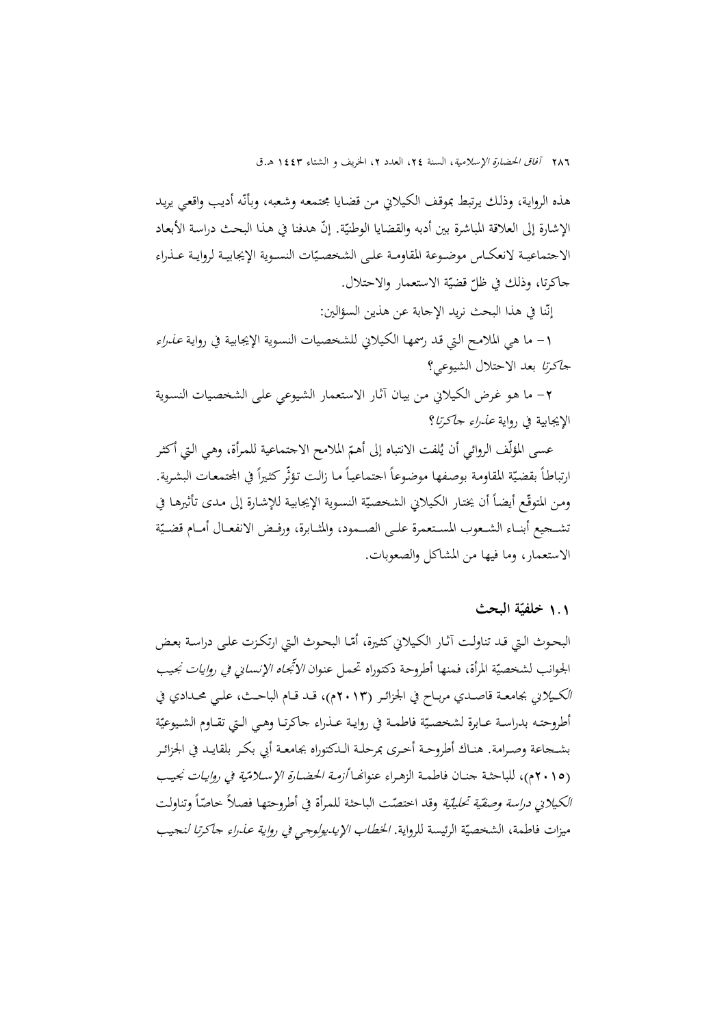هذه الرواية، وذلك يرتبط بموقف الكيلاني من قضايا مجتمعه وشعبه، وبأنّه أديب واقعي يريد الإشارة إلى العلاقة المباشرة بين أدبه والقضايا الوطنيّة. إنّ هدفنا في هذا البحث دراسة الأبعاد الاجتماعيـة لانعكـاس موضـوعة المقاومـة علـى الشخصـيّات النسـوية الإيجابيـة لروايـة عــذراء جاكرتا، وذلك في ظلّ قضيّة الاستعمار والاحتلال.

> ن إنّنا في هذا البحث نريد الإجابة عن هذين السؤالين:

1- ما هي الملامح التي قد رسمهـا الكيلاني للشخصيات النسوية الإيجابية في رواية *عـذراء* جاكرتا بعد الاحتلال الشيوعي؟

-2 ما هـو غـرض الكـيلاني مـن بيـان آثـار الاسـتعمار الشـيوعي علـى الشخصـيات النسـوية الإيجابية في رواية عذراء جاكرتا؟

عسى المؤلّف الروائي أن يُلفت الانتباه إلى أهمّ الملامح الاجتماعية للمرأة، وهي التي أكثر<br>-ارتباطاً بقضيّة المقاومة بوصفها موضوعاً احتماعياً ما زالت تؤثّر كثيراً في المحتمعات البشرية.<br>. ومن المتوقّع أيضاً أن يختار الكيلاني الشخصيّة النسوية الإيجابية للإشارة إلى مدى تأثيرها في تشــحيع أبنــاء الشـعوب المسـتعمرة علــى الصــمود، والمثــابرة، ورفــض الانفعــال أمــام قضــيّة الاستعمار، وما فيها من المشاكل والصعوبات.

## **خلفي ّ** 1**.**1 **ة البحث**

البحوث الـتي قـد تناولـت آثـار الكـيلاني كثـيرة، أمّـا البحوث الـتي ارتكـزت علـى دراسـة بعـض الجوانب لشخصيّة المرأة، فمنها أطروحة دكتوراه تحمل عنوان *الأتّجاه الإنساني في روايات نجيب* الكــيلاني بجامعــة قاصــدي مربــاح في الجزائــر (2013م)، قــد قــام الباحــث، علــي محــدادي في أطروحتـه بدراسـة عـابرة لشخصـيّة فاطمـة في روايـة عـذراء حاكرتـا وهـي الـتي تقـاوم الشـيوعيّة بشــجاعة وصــرامة. هنــاك أطروحــة أخــرى بمرحلــة الــدكتوراه بجامعــة أبي بكــر بلقايــد في الجزائــر (٢٠١٥م)، للباحثـة جنــان فاطمــة الزهـراء عنوانهــا *أزمــة الحضــارة الإسـلامّية في روايــات نجيـ*ب ّ الكيلاني دراسة وصف <sup>ة</sup> ً <sup>ي</sup> وتناولـت ّة تحليلي ـا ّ ً خاص ّـت الباحثـة للمـرأة في أطروحتهـا فصـلا وقد اختص ميزات فاطمة، الشخصيّة الرئيسة للرواية. *الخطاب الإيـديولوجي في رواية عـذراء جاكرتا لن*جيب<br>ّ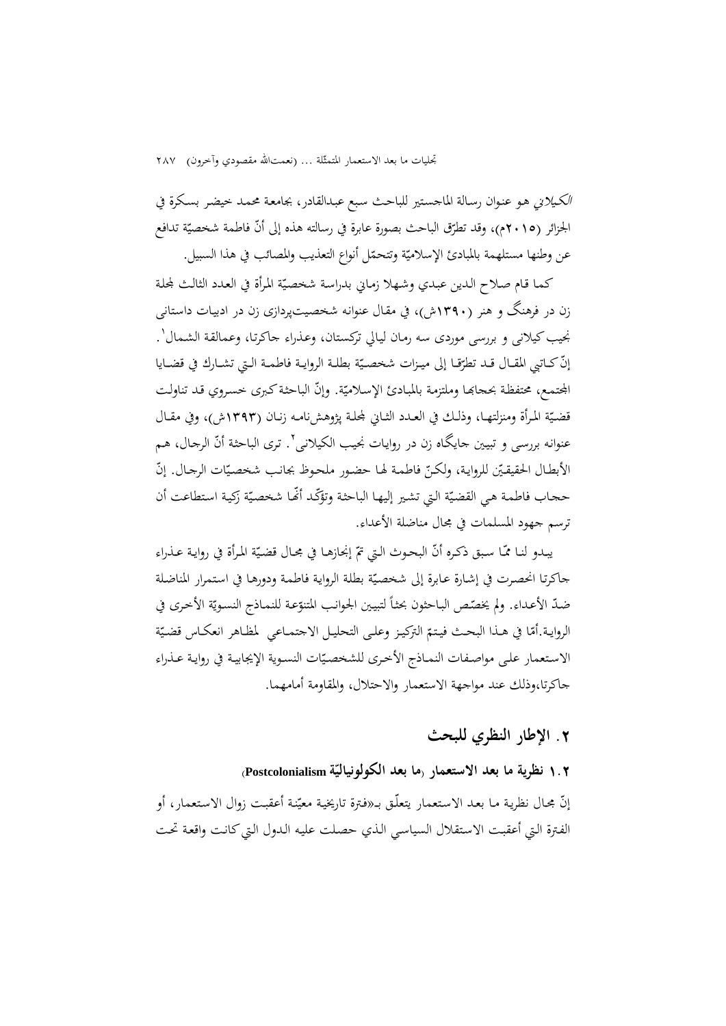تجليات ما بعد الاستعمار المتمثِّلة ... (نعمتالله مقصودي وآخرون) ٢٨٧

الكـيلاني هـو عنـوان رسـالة الماجسـتير للباحـث سـبع عبـدالقادر، بجامعـة محمـد خيضـر بسـكرة في الجزائر (٢٠١٥م)، وقد تطرّق الباحث بصورة عابرة في رسالته هذه إلى أنّ فاطمة شخصيّة تدافع<br>. عن وطنها مستلهمة بالمبادئ الإسلاميّة وتتحمّل أنواع التعذيب والمصائب في هذا السبيل.

كما قـام صـلاح الـدين عبـدي وشـهلا زمـاني بدراسة شخصيّة المرأة في العـدد الثالـث لمحلة زن در فرهنگ و هنر (1390ش)، في مقـال عنوانـه شخصـيتپردازی زن در ادبيـات داسـتانی نجيب كيلاني و بررسي موردي سه رمـان ليـالي تركستان، وعـذراء جـاكرتـا، وعـمالقـة الشـمال'. إنّ كــاتبي المقــال قــد تطرّقــا إلى ميـزات شخصـيّة بطلــة الروايــة فاطمــة الـتي تشــارك في قضــايا المجتمع، محتفظة بحجابها وملتزمة بالمبادئ الإسلاميّة. وإنّ الباحثة كبرى خسروي قد تناولت قضـيّة المـرأة ومنزلتهـا، وذلـك في العـدد الثـاني لمجلـة پژوهشiامـه زنـان (١٣٩٣ش)، وفي مقـال عنوانه بررسی و تبيين جايگاه زن در روايات نجيب الكيلانی''. ترى الباحثة أنّ الرحال، هم الأبطـال الحقيقيّن للروايـة، ولكـنّ فاطمـة لهـا حضـور ملحـوط بجانب شخصيّات الرجـال. إنّ ححاب فاطمة هي القضيّة التي تشير إليها الباحثة وتؤكّد أنّفا شخصيّة زكية استطاعت أن ترسم جهود المسلمات في مجال مناضلة الأعداء.

يبـدو لنـا ممّـا سبق ذكـره أنّ البحـوث الـتي تمّ إنجازهـا في مجـال قضـيّة المرأة في روايـة عـذراء جاكرتا انحصرت في إشارة عابرة إلى شخصيّة بطلة الرواية فاطمة ودورها في استمرار المناضلة ضدّ الأعداء. ولم يخصّص الباحثون بحثاً لتبيين الجوانب المتنوّعة للنمـاذج النسـويّة الأخرى في الروايـة.أمّا في هــذا البحـث فيـتـمّ التركيـز وعلـى التحليـل الاجتمــاعي لمظـاهر انعكـاس قضـيّة الاستعمار على مواصفات النمـاذج الأخرى للشخصيّات النسوية الإيجابيـة في روايـة عـذراء جاكرتا،وذلك عند مواجهة الاستعمار والاحتلال، والمقاومة أمامهما.

# **.**2 **الإطار النظري للبحث**

**ما بعد الكولونيالي Postcolonialism (ّ** 1**.**2 **نظرية ما بعد الاستعمار ( ة** إنّ مجـال نظرية مـا بعـد الاستعمار يتعلّـق بــ«فترة تاريخية معيّنة أعقبت زوال الاستعمار، أو الفترة الـتي أعقبت الاستقلال السياسى الذي حصلت عليه الـدول الـتي كـانت واقعة تحت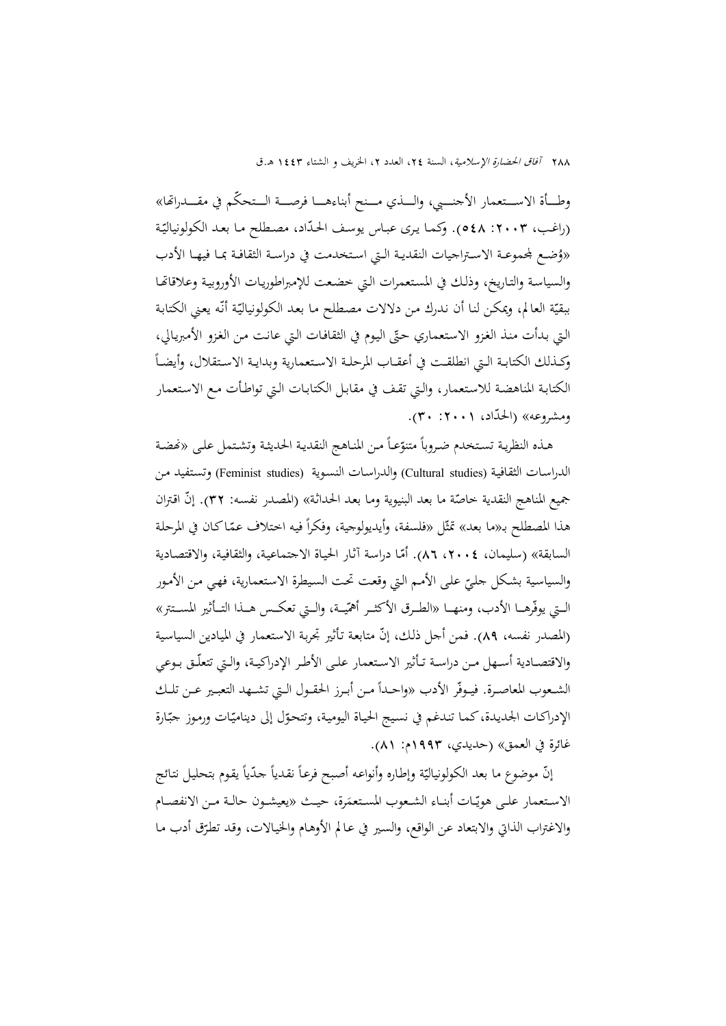وطـــأة الاســـتعمار الأجنــــي، والـــذي مـــنح أبناءهــــا فرصــــة الــتحكّـم في مقــــدراقا» (راغب، ٢٠٠٣: ٥٤٨). وكما يرى عبـاس يوسـف الحدّاد، مصـطلح مـا بعـد الكولونياليّة « ضــع جملموعــة الاســتراجيات النقديــة الــتي اســتخدمت في دراســة الثقافــة بمــا فيهــا الأدب ُ و والسياسـة والتـاريخ، وذلـك في المسـتعمرات الـتي خضـعت للإمبراطوريـات الأوروبيـة وعلاقاēـا ببقيّة العالم، ويمكن لنا أن ندرك من دلالات مصطلح ما بعد الكولونياليّة أنّه يعني الكتابة التي بدأت منذ الغزو الاستعماري حتّى اليوم في الثقافات التي عانت من الغزو الأمبريالي،  $\overline{a}$ وكــذلك الكتابــة الــتي انطلقــت في أعقــاب المرحلــة الاســتعمارية وبدايــة الاســتقلال، وأيضــا الكتابـة المناهضـة للاسـتعمار، والـتي تقـف في مقابـل الكتابـات الـتي تواطـأت مـع الاسـتعمار ومشروعه» (الحدّاد، ۲۰۰۱: ۳۰).

هـذه النظريـة تسـتخدم ضـروباً متنوّعـاً مـن المنـاهـج النقديـة الحديثـة وتشـتمل علـى «نحضـة الدراسـات الثقافيـة (Cultural studies) والدراسـات النسـوية (Feminist studies) وتستفيد مـن جميع المناهج النقدية خاصّة ما بعد البنيوية ومـا بعد الحداثـة» (المصدر نفسـه: ٣٢). إنّ اقتران<br>-هذا المصطلح بـ«ما بعد» تمثّل «فلسفة، وأيديولوجية، وفكراً فيه اختلاف عمّاكان في المرحلة السابقة» (سليمان، ٢٠٠٤، ٨٦، أمّا دراسة آثار الحياة الاجتماعية، والثقافية، والاقتصادية والسياسية بشكل جليّ على الأمم التي وقعت تحت السيطرة الاستعمارية، فهي من الأمور<br>-الــتي يوفّرهـــا الأدب، ومنهـــا «الطــرق الأكثــر أهمّيــة، والــتي تعكــس هــذا التــأثير المســتتر» (المصدر نفسه، ٨٩). فمن أجل ذلك، إنّ متابعة تأثير تجربة الاستعمار في الميادين السياسية والاقتصــادية أســهل مــن دراســة تــأثير الاســتعمار علــى الأطــر الإدراكيــة، والــتي تتعلّــق بــوعي الشـعوب المعاصـرة. فيـوفّر الأدب «واحـداً مـن أبـرز الحقـول الـتي تشــهد التعبـير عـن تلـك الإدراكـات الجديدة، كما تندغم في نسيج الحياة اليومية، وتتحوّل إلى ديناميّات ورموز جبّارة غائرة في العمق» (حديدي، 1993م: 81).

إنّ موضوع ما بعد الكولونياليّة وإطاره وأنواعه أصبح فرعاً نقدياً حدّياً يقوم بتحليل نتائج الاستعمار علـى هويّـات أبنـاء الشـعوب المستعمَرة، حيـث «يعيشـون حالـة مـن الانفصـام والاغتراب الذاتي والابتعاد عن الواقع، والسير في عـالم الأوهـام والخيـالات، وقـد تطـرّق أدب مـا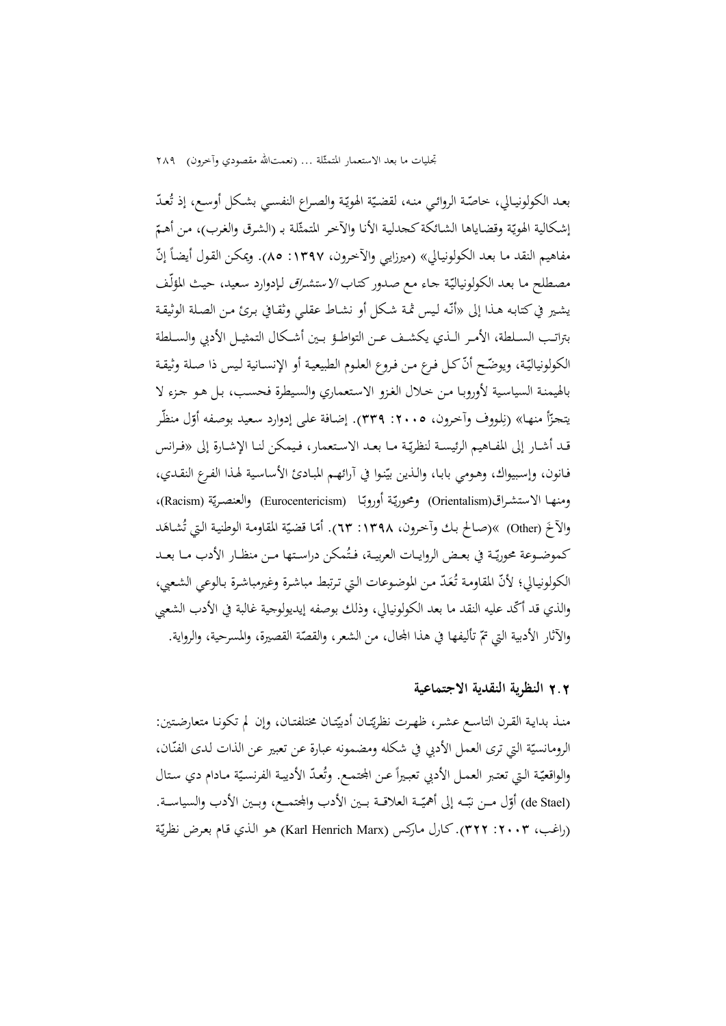بعـد الكولونيـالي، خـاصّـة الروائـي منـه، لقضـيّة الهويّـة والصـراع النفسـي بشـكل أوسـع، إذ تُعـدّ إشكالية الهويّة وقضاياها الشائكة كحدلية الأنا والآخر المتمثّلة بـ (الشرق والغرب)، من أهـمّ مفاهيم النقد مـا بعـد الكولونيـالي» (ميرزايـي والآخرون، ١٣٩٧: ٨٥). ويمكـن القول أيضـاً إنّ مصطلح مـا بعـد الكولونياليّـة جـاء مـع صـدور كتـاب /Y ستشـ*راق* لـإدوارد سعيد، حيـث المؤلّف يشـير في كتابـه هـذا إلى «أنّـه لـيس ثمـة شكل أو نشـاط عقلـي وثقـافي بـرئ مـن الصـلة الوثيقـة بتراتــب الســلطة، الأمــر الــذي يكشــف عــن التواطــؤ بــين أشــكال التمثيــل الأدبي والســلطة الكولونياليّـة، ويوضّـح أنّـ كـل فـرع مـن فـروع العلـوم الطبيعيـة أو الإنسـانية لـيس ذا صـلة وثيقـة بالهيمنـة السياسـية لأوروبـا مـن خـلال الغـزو الاسـتعماري والسـيطرة فحسـب، بـل هـو جـزء لا يتجزّأ منها» (نِلووف وآخرون، ٢٠٠٥: ٣٣٩). إضافة على إدوارد سعيد بوصفه أوّل منظّر قـد أشــار إلى المفــاهيم الرئيســة لنظريّـة مــا بعـد الاسـتعمار، فـيمكن لنــا الإشــارة إلى «فـرانس فـانون، وإسبيواك، وهـومي بابـا، والـذين بيّنـوا في آرائهـم المبـادئ الأساسية لهـذا الفـرع النقـدي، ومنها الاستشراق(Orientalism) ومحوريّة أوروبّا (Eurocentericism) والعنصريّة (Racism)، والآخَ (Other) »(صـالح بـك وآخرون، ١٣٩٨: ٦٣). أمّا قضيّة المقاومة الوطنية التي تُشـاهَد كموضـوعة محوريّـة في بعـض الروايــات العربيــة، فـتُمكن دراسـتها مــن منظـار الأدب مــا بعــد الكولونيـالي؛ لأنّ المقاومـة تُعَدّ مـن الموضـوعات الـتي تـرتبط مباشـرة وغيرمباشـرة بـالوعي الشـعبي، والذي قد أكّد عليه النقد ما بعد الكولونيالي، وذلك بوصفه إيديولوجية غالبة في الأدب الشعبي والآثار الأدبية التي تمّ تأليفها في هذا المحال، من الشعر، والقصّة القصيرة، والمسرحية، والرواية.

## 2**.**2 **النظرية النقدية الاجتماعية**

منـذ بدايـة القـرن التاسـع عشـر، ظهـرت نظريّتـان أدبيّتـان مختلفتـان، وإن لم تكونـا متعارضـتين:<br>. الرومانسيّة التي ترى العمل الأدبي في شكله ومضمونه عبارة عن تعبير عن الذات لدى الفنّان، والواقعيّة الـتي تعتبر العمـل الأدبي تعبيراً عـن المجتمـع. وتُعـدّ الأديبـة الفرنسـيّة مـادام دي سـتال (de Stael) أوّل مــن نبّــه إلى أهمّيّــة العلاقــة بــين الأدب والجحتمــع، وبــين الأدب والسياســة.<br>-(راغب، ٢٠٠٣: ٣٢٢). كـارل مـاركس (Karl Henrich Marx) هـو الـذي قـام بعرض نظريّة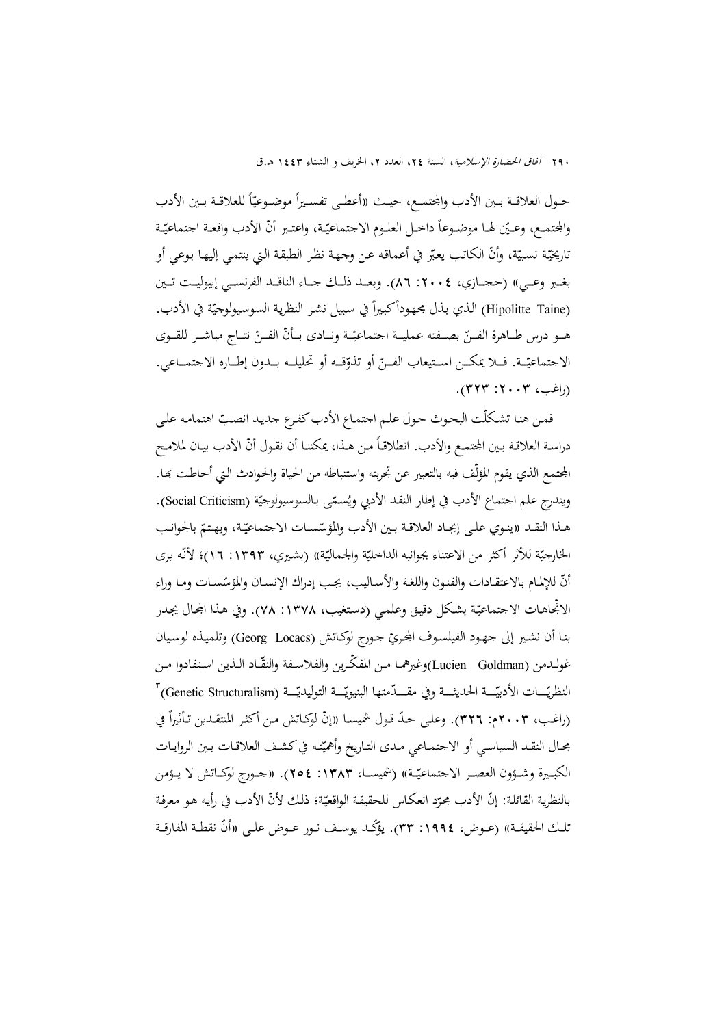حـول العلاقــة بــين الأدب والمجتمــع، حيــث «أعطــى تفســيراً موضــوعيّاً للعلاقــة بــين الأدب<br>-والمجتمـع، وعـيّن لهـا موضـوعاً داخـل العلـوم الاجتماعيّـة، واعتـبر أنّ الأدب واقعـة اجتماعيّـة ناريخيّة نسبيّة، وأنّ الكاتب يعبّر في أعماقه عن وحهة نظر الطبقة التي ينتمي إليها بوعي أو بغـير وعــي» (حجــازي، ٢٠٠٤: ٨٦). وبعــد ذلـك جــاء الناقــد الفرنســي إيبوليــت تــين (Hipolitte Taine) الذي بذل مجهوداً كبيراً في سبيل نشر النظرية السوسيولوجيّة في الأدب. هــو درس ظــاهرة الفــنّ بصــفته عمليــة اجتماعيّــة ونــادى بــأنّ الفــنّ نتــاج مباشــر للقــوى الاجتماعيّــة. فــلا يمكــن اســتيعاب الفــنّ أو تذوّقــه أو تحليلــه بــدون إطــاره الاجتمــاعي. (راغب، ٢٠٠٣: ٣٢٣).

فمن هنا تشكلّت البحوث حول علم اجتماع الأدب كفرع جديد انصبّ اهتمامه على دراسة العلاقة بـين المحتمـع والأدب. انطلاقـاً مـن هـذا، يمكننـا أن نقـول أنّ الأدب بيـان لملامـح المجتمع الذي يقوم المؤلّف فيه بالتعبير عن تجربته واستنباطه من الحياة والحـوادث الـتي أحاطت بمـا. ويندرج علم احتماع الأدب في إطار النقد الأدبي ويُسمّى بالسوسيولوجيّة (Social Criticism).<br>-هـذا النقـد «ينـوي علـى إيجـاد العلاقـة بـين الأدب والمؤسّسـات الاجتماعيّـة، ويهـتمّ بالجوانـب الخارجيّة للأثر أكثر من الاعتناء بجوانبه الداخليّة والجماليّة» (بشيري، ١٣٩٣: ١٦)؛ لأنّه يرى أنّ للإلمام بالاعتقـادات والفنـون واللغـة والأسـاليب، يجب إدراك الإنسـان والمؤسّسـات ومـا وراء الاتِّحاهـات الاجتماعيّة بشكل دقيق وعلمي (دستغيب، ١٣٧٨: ٧٨). وفي هـذا المحال يجـدر بنـا أن نشـير إلى جهـود الفيلسـوف الجحريّ جـورج لوكـاتش (Georg Locacs) وتلميـذه لوسـيان غولــدمن (Goldman Lucien(وغيرهمــا مــن ّ المفكــرين والفلاســفة ّ والنقــاد الــذين اســتفادوا مــن النظريّـــات الأدبيّـــة الحديثـــة وفي مقــــدّمتها البنيويّـــة التوليديّــة (Genetic Structuralism) (راغب، ٢٠٠٣م: ٣٢٦). وعلى حدّ قول شميسـا «إنّ لوكـاتش مـن أكثـر المنتقـدين تـأثيراً في مجـال النقـد السياسـي أو الاجتمـاعي مـدى التـاريخ وأهميّته في كشـف العلاقـات بـين الروايـات<br>. الكبــيرة وشــؤون العصــر الاجتماعيّــة» (شميســا، ١٣٨٣: ٢٥٤). «جــورج لوكـــاتش لا يــؤمن بالنظرية القائلة: إنَّ الأدب مجرّد انعكاس للحقيقة الواقعيّة؛ ذلك لأنَّ الأدب في رأيه هـو معرفة تلك الحقيقـة)) (عـوض، ١٩٩٤: ٣٣). يؤكّـد يوسـف نـور عـوض علـى «أنّ نقطـة المفارقـة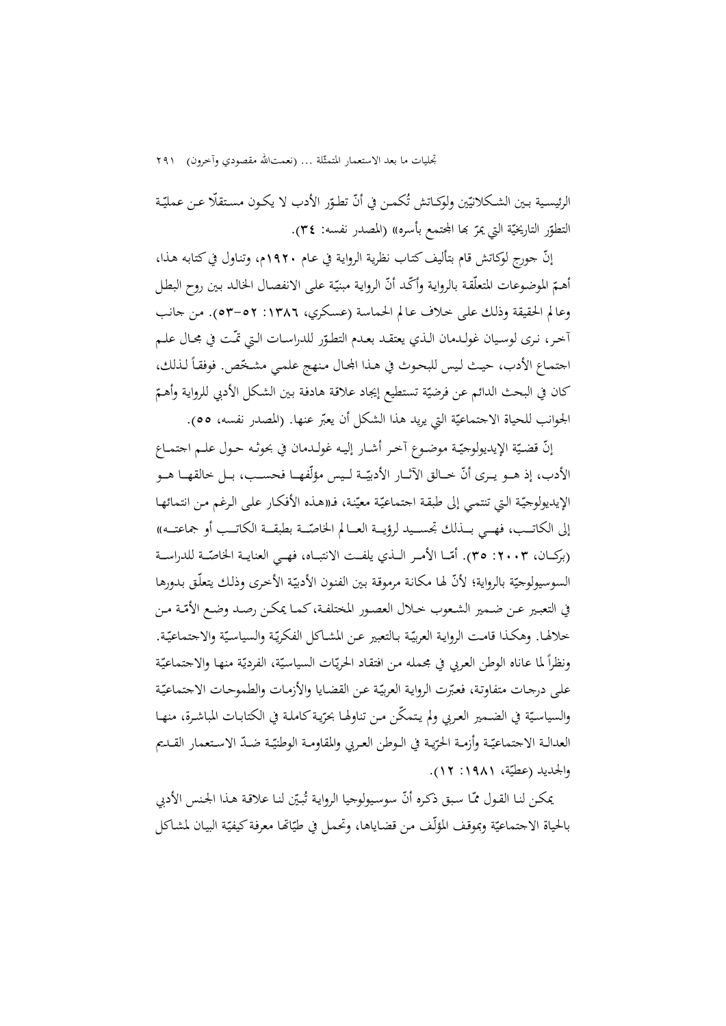تجليات ما بعد الاستعمار المتمثّلة ... (نعمتالله مقصودي وآخرون) ٢٩١

الرئيسـية بــين الشـكلانيّين ولوكــاتش تُكمــن في أنّ تطـوّر الأدب لا يكـون مسـتقلّا عـن عمليّـة التطوّر التاريخيّة التي يمرّ بما المجتمع بأسره» (المصدر نفسه: ٣٤).<br>.

إنّ جورج لوكاتش قام بتأليف كتاب نظرية الرواية في عـام ١٩٢٠م، وتناول في كتابه هـذا، أهـمّ الموضوعات المتعلّقة بالرواية وأكّد أنّ الرواية مبنيّة على الانفصال الخالد بين روح البطل وعالم الحقيقة وذلـك علـى خـلاف عـالم الحماسـة (عسـكري، :1386 53-52). مـن جانـب أخر، نرى لوسيان غولـدمان الـذي يعتقـد بعـدم التطـوّر للدراسـات الـتي تمّـت في مجـال علـم<br>-اجتمـاع الأدب، حيـث ليس للبحوث في هـذا المحال منهج علمـي مشـخّص. فوفقـاً لـذلك، كان في البحث الدائم عن فرضيّة تستطيع إيجاد علاقة هادفة بين الشكل الأدبي للرواية وأهـمّ الجوانب للحياة الاجتماعيّة التي يريد هذا الشكل أن يعبّر عنها. (المصدر نفسه، ٥٥).

إنّ قضيّة الإيديولوجيّـة موضـوع أخـر أشـار إليـه غولـدمان في بحوثـه حـول علــم اجتمــاع الأدب، إذ هــو يــرى أنّ خــالق الآثــار الأديّــة لــيس مؤلّفهــا فحســب، بــل خالقهــا هــو الإيديولوجيّة التي تنتمي إلى طبقة اجتماعيّة معيّنة، فـ«هـذه الأفكـار علـى الرغم مـن انتمائهـا إلى الكاتــب، فهــي بــذلك تجســيد لرؤيــة العــالم الخاصّــة بطبقــة الكاتــب أو جماعتــه)) (بركـــان، ٢٠٠٣: ٣٥). أمّـــا الأمــر الـــذي يلفـــت الانتبـــاه، فهــي العنايــة الخاصّـــة للدراســـة السوسيولوجيّة بالرواية؛ لأنّـ لها مكانة مرموقة بين الفنون الأدبيّة الأخرى وذلك يتعلّق بدورها في التعبير عـن ضـمير الشـعوب خـلال العصـور المختلفـة،كمـا يمكـن رصـد وضـع الأمّـة مـن خلالها. وهكـذا قامـت الروايـة العربيّـة بـالتعبير عـن المشـاكل الفكريّـة والسياسيّة والاجتماعيّـة. ونظراً لما عاناه الوطن العربي في مجمله من افتقاد الحريّات السياسيّة، الفرديّة منها والاجتماعيّة على درجات متفاوتة، فعبّرت الرواية العربيّة عن القضايا والأزمات والطموحات الاجتماعيّة والسياسيّة في الضمير العربي ولم يتمكّن من تناولها بحرّية كاملة في الكتابـات المباشـرة، منهـا العدالـة الاجتماعيّـة وأزمــة الحرّيـة في الـوطن العـربي والمقاومــة الوطنيّــة ضــدّ الاسـتعمار القــديم والجديد (عطيّة، ١٩٨١: ١٢).

بمكن لنـا القـول ممّـا سبق ذكـره أنّـ سوسيولوجيا الروايـة تُبـيّن لنـا علاقـة هـذا الجـنس الأدبي بالحياة الاجتماعيّة وبموقف المؤلّف من قضاياها، وتحمل في طيّاتها معرفة كيفيّة البيان لمشاكل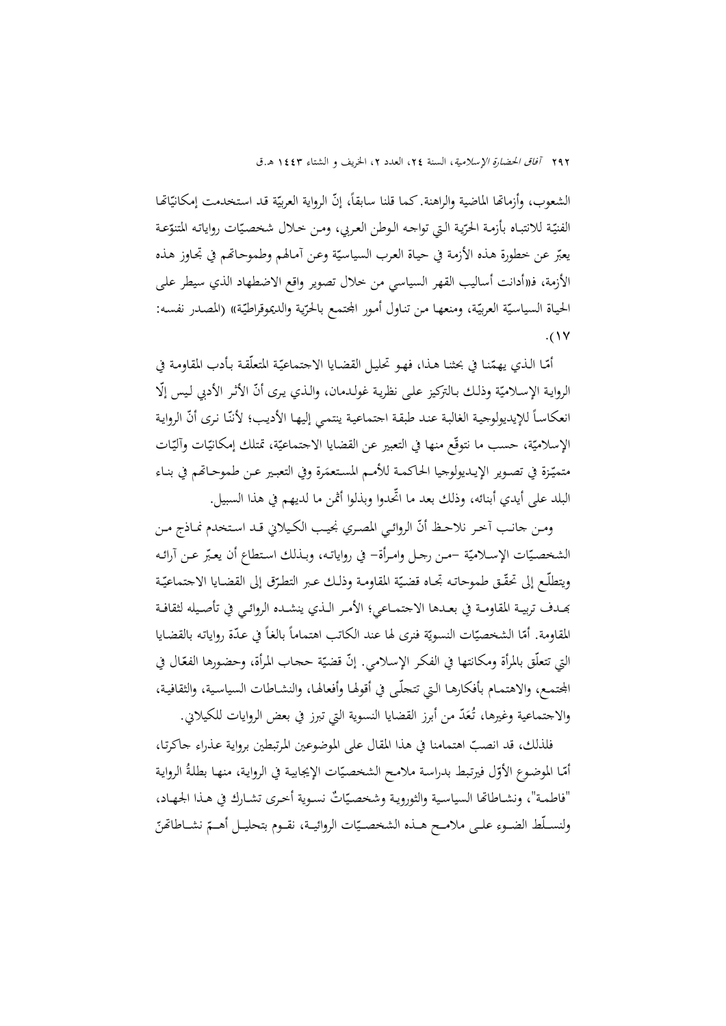الشعوب، وأزماتها الماضية والراهنة. كما قلنا سابقاً، إنّ الرواية العربيّة قد استخدمت إمكانيّاتها الفنيّـة للانتبـاه بأزمـة الحرّيـة الـتي تواجـه الـوطن العربي، ومـن خـلال شخصـيّات رواياتـه المتنوّعـة يعبّر عن خطورة هذه الأزمة في حياة العرب السياسيّة وعن أمالهم وطموحاتمم في تجـاوز هـذه الأزمة، فـ«أدانت أساليب القهر السياسي من خلال تصوير واقع الاضطهاد الذي سيطر علـى الحياة السياسيّة العربيّة، ومنعهـا من تناول أمور المجتمـع بالحرّية والديموقراطيّة» (المصدر نفسـه:<br>.  $.$ (17

أمّـا الـذي يهمّنـا في بحثنـا هـذا، فهو تحليـل القضـايا الاجتماعيّـة المتعلّقـة بـأدب المقاومـة في الروايـة الإسـلاميّة وذلـك بـالتركيز علـى نظريـة غولـدمان، والـذي يـرى أنّ الأثـر الأدبي لـيس إلّا انعكاساً للإيديولوجية الغالبة عند طبقة اجتماعية ينتمي إليها الأديب؛ لأننّا نرى أنّ الرواية الإسلاميّة، حسب ما نتوقّع منها في التعبير عن القضايا الاجتماعيّة، تمتلك إمكانيّات وأليّات متميّنة في تصـوير الإيـديولوجيا الحاكمـة للأمـم المستعمَرة وفي التعبـير عـن طموحـاتهم في بنـاء<br>. البلد على أيدي أبنائه، وذلك بعد ما ّ اتحدوا وبذلوا أثمن ما لديهم في هذا السبيل.

ومـن جانـب آخر نلاحـظ أنّ الروائـي المصـري نجيـب الكـيلاني قـد اسـتخدم نمـاذج مـن الشخصـيّات الإسـلاميّة –مـن رجـل وامـرأة– في رواياتـه، وبـذلك اسـتطاع أن يعـبّر عـن آرائـه ويتطلّـع إلى تحقّـق طموحاتـه تجـاه قضـيّة المقاومـة وذلـك عـبر التطـرّق إلى القضـايا الاجتماعيّـة đــدف تربيــة المقاومــة في بعــدها الاجتمــاعي؛ الأمــر الــذي ينشــده الروائــي في تأصــيله لثقافــة المقاومة. أمّا الشخصيّات النسويّة فنرى لها عند الكاتب اهتماماً بالغاً في عدّة رواياته بالقضايا التي تتعلّق بالمرأة ومكانتها في الفكر الإسلامي. إنّ قضيّة ححاب المرأة، وحضورها الفعّال في الجتمـع، والاهتمـام بأفكارهـا الـتي تتجلّـى في أقولهـا وأفعالهـا، والنشـاطات السياسـية، والثقافيـة، والاجتماعية وغيرها، تُعَدّ من أبرز القضايا النسوية التي تبرز في بعض الروايات للكيلاني.

فلذلك، قد انصبّ اهتمامنا في هذا المقال على الموضوعين المرتبطين برواية عـذراء جاكرتـا، أمّـا الموضوع الأوّل فيرتبط بدراسة ملامح الشخصيّات الإيجابية في الرواية، منهـا بطلةٌ الرواية "فاطمـة"، ونشـاطاقما السياسـية والثورويـة وشخصـيّاتٌ نسـوية أخـرى تشـارك في هـذا الجهـاد، ولنســلّط الضــوء علــى ملامــح هــذه الشخصــيّات الروائيــة، نقــوم بتحليــل أهـــمّ نشــاطاتّحنّ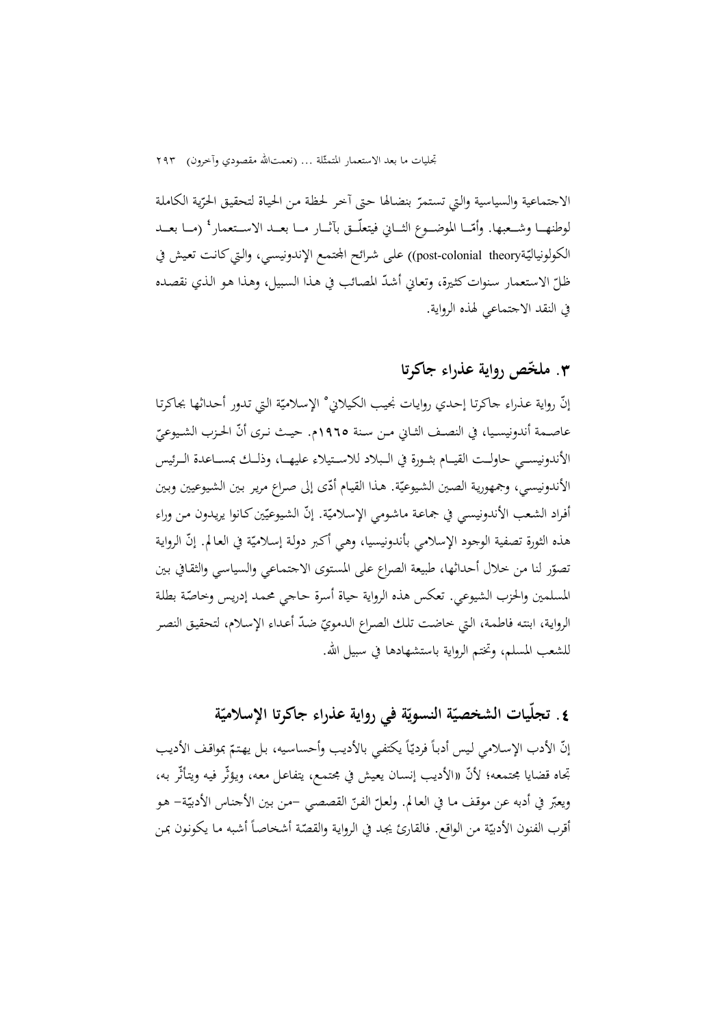الاجتماعية والسياسية والتي تستمرّ بنضالها حتى آخر لحظة من الحياة لتحقيق الحرّية الكاملة لوطنهـــا وشــعبها. وأمّـــا الموضـــوع الثـــاني فيتعلّـــق بآثـــار مـــا بعـــد الاســتعمار ٔ (مـــا بعــد الكولونياليّة(post-colonial theory) على شرائح الجتمع الإندونيسبي، والتي كانت تعيش في ظلّ الاستعمار سنوات كثيرة، وتعاني أشدّ المصائب في هذا السبيل، وهذا هو الذي نقصده<br>-في النقد الاجتماعي لهذه الرواية.

# **.**3 **ّ ملخص رواية عذراء جاكرتا**

إنّ رواية عذراء حاكرتا إحدي روايات نجيب الكيلاني° الإسلاميّة التي تدور أحداثها بجاكرتا عاصــمة أندونيسـيا، في النصـف الثـاني مـن سـنة ١٩٦٥م. حيـث نـرى أنّ الحـزب الشـيوعيّ<br>. الأندونيســـي حاولـــت القيـــام بثـــورة في الـــبلاد للاســـتيلاء عليهـــا، وذلـــك بمســـاعدة الـــرئيس الأندونيسي، وجمهورية الصين الشيوعيّة. هذا القيام أدّى إلى صراع مرير بين الشيوعيين وبين أفراد الشعب الأندونيسي في جماعـة ماشـومي الإسـلاميّة. إنّ الشيوعيّين كـانوا يريدون مـن وراء هذه الثورة تصفية الوجود الإسلامي بأندونيسيا، وهي أكبر دولة إسلاميّة في العالم. إنّ الرواية تصوّر لنا من حلال أحداثها، طبيعة الصراع على المستوى الاجتماعي والسياسي والثقافي بين المسلمين والحزب الشيوعي. تعكس هذه الرواية حياة أسرة حاجي محمد إدريس وحاصّة بطلة الرواية، ابنته فاطمة، التي خاضت تلك الصراع الدمويّ ضدّ أعداء الإسلام، لتحقيق النصر للشعب المسلم، وتختم الرواية باستشهادها في سبيل االله.

# **ّ .**4 **ة ة في رواية عذراء جاكرتا الإسلامي ّ ة النسوي ّيات الشخصي ّ تجل**

إنّ الأدب الإسلامي ليس أدباً فرديّاً يكتفي بالأديب وأحساسيه، بل يهتمّ بمواقف الأديب تجاه قضايا مجتمعـه؛ «الأديـب إنسـان يعـيش في مجتمـع، يتفاعـل معـه، ويـؤثّر فيـه ويتـأثّر بـه، ّلأن ويعبّر في أدبه عن موقف ما في العالم. ولعلّ الفنّ القصصي –من بين الأجناس الأدبيّة– هو<br>-أقرب الفنون الأدبيّة من الواقع. فالقارئ يجد في الرواية والقصّة أشخاصاً أشبه ما يكونون بمن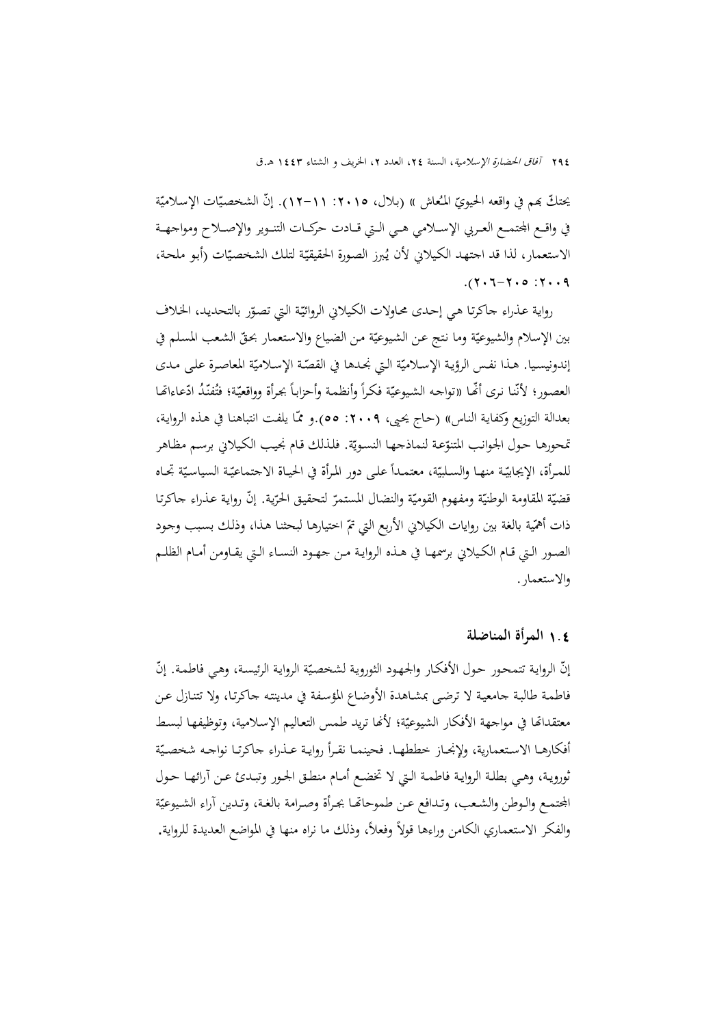يحتكّ بمم في واقعه الحيويّ المُعاش )) (بلال، ١٥. ٢٠١٥ ـ ١٢). إنّ الشخصيّات الإسلاميّة في واقـع الجتمــع العـربي الإســلامي هـي الـتي قــادت حركــات التنـوير والإصــلاح ومواجهــة الاستعمار، لذا قد اجتهد الكيلاني لأن يُبرز الصورة الحقيقيّة لتلك الشخصيّات (أبو ملحة،  $.7 - 7 - 0.7 - 7.9$ 

رواية عذراء حاكرتا هي إحدى محاولات الكيلاني الروائيّة التي تصوّر بالتحديد، الخلاف بين الإسلام والشيوعيّة وما نتج عن الشيوعيّة من الضياع والاستعمار بحقّ الشعب المسلم في إندونيسيا. هـذا نفس الرؤية الإسلاميّة التي نجـدها في القصّة الإسـلاميّة المعاصرة علـى مـدى العصور؛ لأنّنا نرى أنّها «تواجه الشيوعيّة فكراً وأنظمة وأحزاباً بجرأة وواقعيّة؛ فتُفنّدُ ادّعاءاتّما بعدالة التوزيع وكفاية الناس» (حاج يحيى، ٢٠٠٩: ٥٥).و ممّا يلفت انتباهنا في هـذه الرواية، قحورهـا حـول الجوانب المتنوّعـة لنماذجهـا النسـويّة. فلذلك قـام نجيب الكيلاني برسـم مظـاهر للمرأة، الإيجابيّـة منهـا والسـلبيّة، معتمـداً علـى دور المرأة في الحيـاة الاجتماعيّـة السياسيّة تجـاه قضيّة المقاومة الوطنيّة ومفهوم القوميّة والنضال المستمرّ لتحقيق الحرّية. إنّ رواية عـذراء حاكرتا ذات أهمّية بالغة بين روايات الكيلاني الأربع التي تمّ اختيارها لبحثنا هذا، وذلك بسبب وجود الصــور الــتي قــام الكــيلاني برسمهــا في هــذه الروايــة مــن جهــود النســاء الــتي يقــاومن أمــام الظلــم والاستعمار.

## 1**.**4 **المرأة المناضلة**

إنّ الرواية تتمحور حول الأفكار والجهود الثوروية لشخصيّة الرواية الرئيسة، وهي فاطمة. إنّ فاطمـة طالبـة جامعيـة لا ترضـى بمشـاهدة الأوضـاع المؤسـفة في مدينتـه جاكرتـا، ولا تتنـازل عـن معتقداتها في مواجهة الأفكار الشيوعيّة؛ لأنّها تريد طمس التعاليم الإسلامية، وتوظيفها لبسط أفكارهـا الاسـتعمارية، ولإنجـاز خططهـا. فحينمـا نقـرأ روايـة عـذراء جاكرتـا نواجـه شخصـيّة ثورويـة، وهــي بطلـة الروايـة فاطمـة الــتي لا تخضــع أمــام منطــق الجـور وتبــدئ عــن آرائهــا حــول الجتمـع والـوطن والشـعب، وتـدافع عـن طموحاقما بجـرأة وصـرامة بالغـة، وتـدين آراء الشـيوعيّة والفكر الاستعماري الكامن وراءها قولاً وفعلاً، وذلك ما نراه منها في المواضع العديدة للرواية.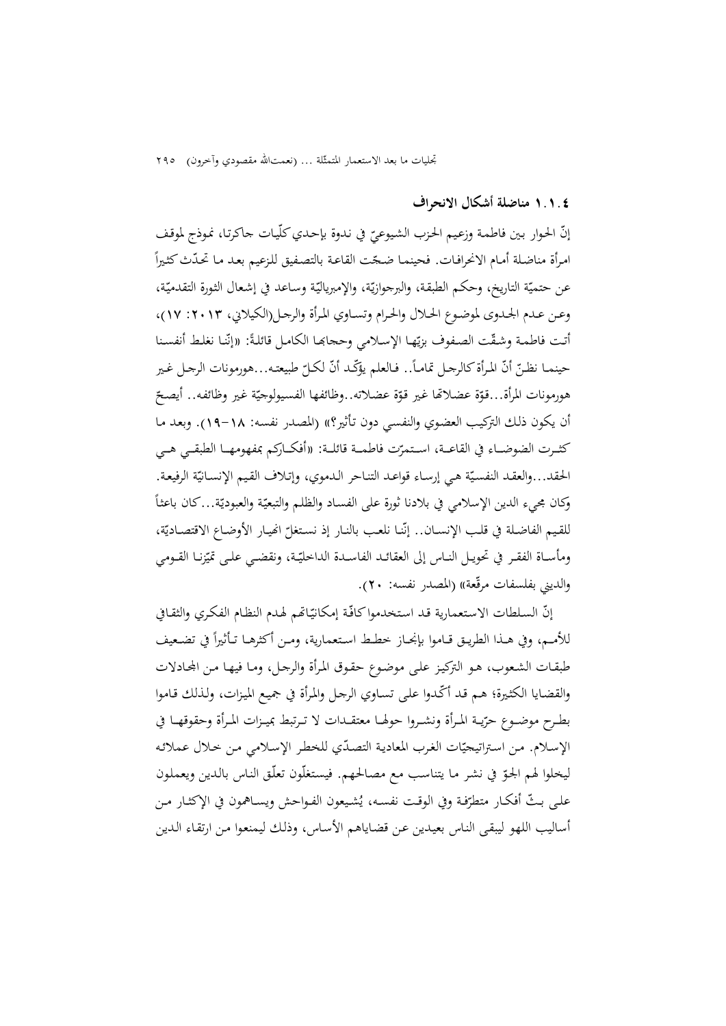تجليات ما بعد الاستعمار المتمثِّلة ... (نعمتالله مقصودي وآخرون) ٢٩٥

#### **١.١.٤ مناضلة أشكال الانحراف**

إنّ الحوار بين فاطمة وزعيم الحزب الشيوعيّ في ندوة بإحدي كلّيات جاكرتا، نموذج لموقف<br>.  $\frac{1}{2}$ امرأة مناضلة أمـام الانحرافـات. فحينمـا ضـجّت القاعـة بالتصفيق للزعيم بعـد مـا تحـدّت كثيراً عن حتميّة التاريخ، وحكم الطبقة، والبرجوازيّة، والإمبرياليّة وساعد في إشعال الثورة التقدميّة، ي وعـن عـدم الجـدوى لموضـوع الحـلال والحـرام وتسـاوي المـرأة والرجـل(الكيلاني، :2013 17)، أتت فاطمة وشقّت الصفوف بزيّها الإسلامي وحجابها الكامل قائلةً: «إنّنا نغلط أنفسنا حينمـا نظـنّ أنّ المـرأة كالرجـل تمامـاً.. فـالعلم يؤكّـد أنّ لكـلّ طبيعتـه...هورمونات الرجـل غـير هورمونات المرأة...قوّة عضلاقما غير قوّة عضلاته..وظائفها الفسيولوجيّة غير وظائفه.. أيصحّ أن يكون ذلـك التركيـب العضـوي والنفسـي دون تـأثير؟» (المصـدر نفسـه: 19-18). وبعـد مـا كثــرت الضوضـــاء في القاعـــة، اســتمرّت فاطمـــة قائلــة: «أفكـــاركم بمفهومهـــا الطبقــي هــي الحقد...والعقـد النفسـيّة هـي إرسـاء قواعـد التنـاحر الـدموي، وإتـلاف القيـم الإنسـانيّة الرفيعـة.  $\overline{a}$ وكان مجيء الدين الإسلامي في بلادنا ثورة على الفسـاد والظلـم والتبعيّة والعبوديّة…كان باعثـًا للقيم الفاضلة في قلب الإنســان.. إنّنـا نلعب بالنـار إذ نستغلّ انميـار الأوضـاع الاقتصـاديّة،<br>. ومأســاة الفقـر في تحويـل النــاس إلى العقائــد الفاســدة الداخليّـة، ونقضـي علــى تميّزنــا القــومي والديني بفلسفات مرقّعة)) (المصدر نفسه: ٢٠).

إنّ السلطات الاستعمارية قد استخدموا كافّة إمكانيّاتهم لهدم النظام الفكري والثقافي للأمــم، وفي هــذا الطريــق قــاموا بإنجــاز خطـط اسـتعمارية، ومــن أكثرهــا تـأثيراً في تضـعيف طبقـات الشـعوب، هـو التركيـز علـى موضـوع حقـوق المـرأة والرجـل، ومـا فيهـا مـن اجملـادلات والقضـايا الكثيرة؛ هـم قـد أكّـدوا على تسـاوي الرجـل والمرأة في جميع الميزات، ولـذلك قـاموا بطــرح موضــوع حرّيــة المـرأة ونشــروا حولهــا معتقــدات لا تــرتبط بميــزات المـرأة وحقوقهــا في الإسلام. من استراتيجيّات الغرب المعادية التصدّي للخطر الإسلامي من خلال عملائه ليخلوا لهم الجـق في نشـر مـا يتناسب مـع مصـالحهم. فيستغلّون تعلّـق النـاس بالـدين ويعملون علـى بـثّ أفكـار متطرّفة وفي الوقـت نفسـه، يُشيعون الفـواحش ويسـاهمون في الإكثـار مـن أساليب اللهو ليبقـى النـاس بعيـدين عـن قضـاياهم الأسـاس، وذلـك ليمنعـوا مـن ارتقـاء الـدين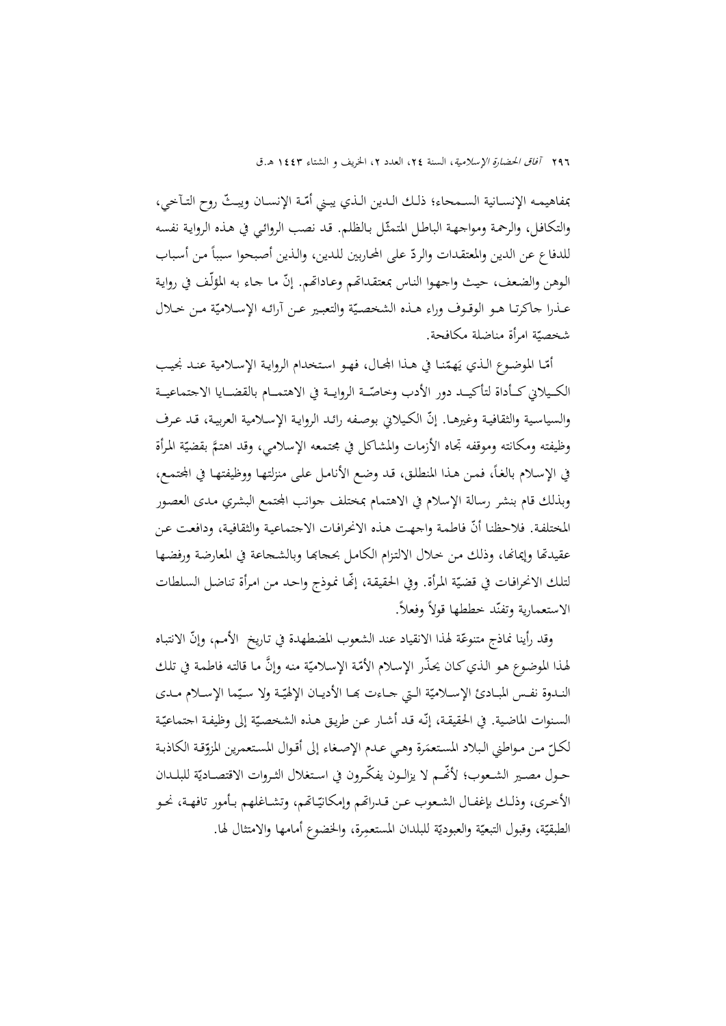بمفاهيمـه الإنسـانية السـمحاء؛ ذلـك الـدين الـذي يبـني أمّـة الإنسـان ويبـتّ روح التـآخي، والتكافل، والرحمة ومواجهة الباطل المتمثّل بالظلم. قد نصب الروائبي في هذه الرواية نفسه للدفاع عن الدين والمعتقدات والردّ على المحاربين للدين، والذين أصبحوا سبباً من أسباب الوهن والضعف، حيث واجهوا الناس بمعتقداتمم وعـاداتمم. إنّ مـا جـاء به المؤلّف في رواية عـذرا حاكرتـا هـو الوقـوف وراء هـذه الشخصـيّة والتعبـير عـن أرائـه الإسـلاميّة مـن خـلال شخصيّة امرأة مناضلة مكافحة.

أمّـا الموضوع الـذي يَهمّنـا في هـذا المحـال، فهـو اسـتخدام الروايـة الإسـلامية عنـد نجيب الكـيلاني كــأداة لتأكيــد دور الأدب وخاصّــة الروايــة في الاهتمــام بالقضــايا الاجتماعيــة والسياسية والثقافية وغيرهـا. إنّ الكيلاني بوصفه رائـد الروايـة الإسـلامية العربيـة، قـد عـرف وظيفته ومكانته وموقفه تجاه الأزمات والمشاكل في مجتمعه الإسلامي، وقد اهتمَّ بقضيّة المرأة في الإسلام بالغاً، فمن هذا المنطلق، قد وضع الأنامل على منزلتها ووظيفتها في المحتمع، وبذلك قام بنشر رسالة الإسلام في الاهتمام بمختلف جوانب المجتمع البشري مدى العصور المختلفة. فلاحظنا أنّ فاطمة واجهت هـذه الانحرافـات الاجتماعية والثقافية، ودافعت عن عقيدتها وإيمانها، وذلك مـن خـلال الالتـزام الكـامـل بحجابهـا وبالشـجاعة في المعارضة ورفضـهـا لتلك الانحرافـات في قضيّة المرأة. وفي الحقيقة، إنَّما نموذج واحـد من امرأة تناضل السـلطات الاستعمارية وتفنّد خططها قولاً وفعلاً.

وقد رأينا نماذج متنوعّة لهذا الانقياد عند الشعوب المضطهدة في تـاريخ الأمـم، وإنّ الانتبـاه لهذا الموضوع هو الذي كـان يحذّر الإسلام الأمّة الإسلاميّة منه وإنَّ مـا قالته فاطمـة في تلك النـدوة نفـس المبـادئ الإسـلاميّة الـتي جـاءت بهـا الأديـان الإلهيّـة ولا سـيّما الإسـلام مـدى ي السنوات الماضية. في الحقيقـة، إنّـه قـد أشـار عـن طريق هـذه الشخصيّة إلى وظيفـة اجتماعيّـة لكلّ من مواطني البلاد المستعمَرة وهي عـدم الإصـغاء إلى أقـوال المستعمرين المزوّقة الكاذبـة<br>-حــول مصــير الشــعوب؛ لأنَّــم لا يزالــون يفكّــرون في اسـتغلال الثــروات الاقتصــاديّة للبلــدان الأخرى، وذلك بإغفـال الشـعوب عـن قـدراتمم وإمكانيّـاتمم، وتشـاغلهم بـأمور تافهـة، نحـو الطبقيّة، وقبول التبعيّة والعبوديّة للبلدان المستعمِرة، والخضوع أمامها والامتثال لها.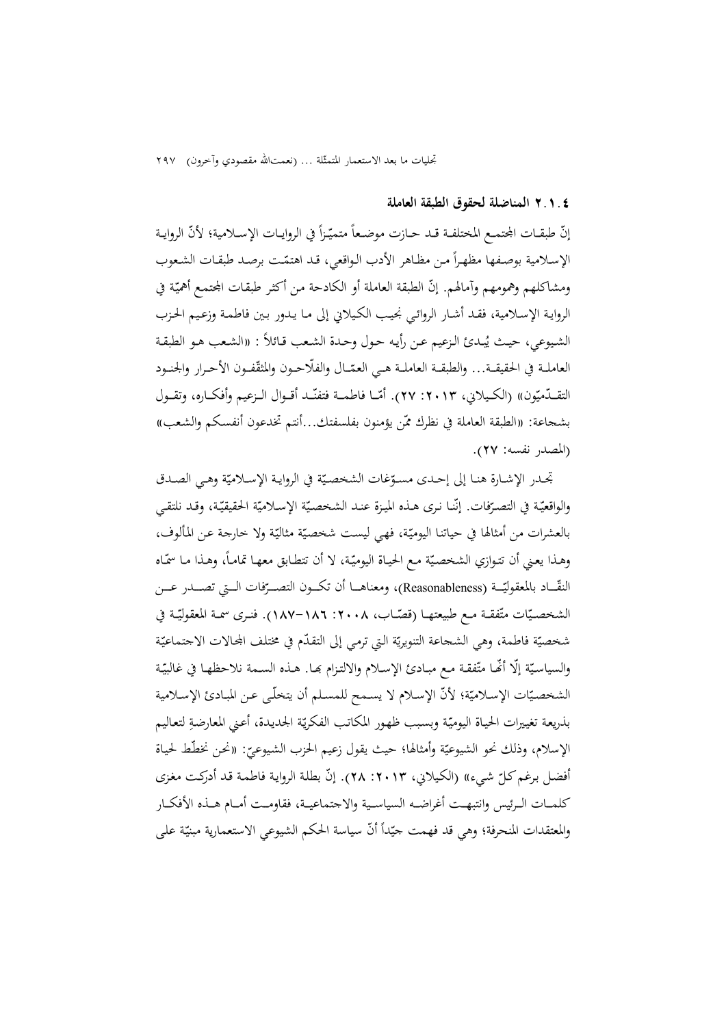تجليات ما بعد الاستعمار المتمثّلة ... (نعمتالله مقصودي وآخرون) ٢٩٧

#### **٢.١.٤ المناضلة لحقوق الطبقة العاملة**

إنّ طبقــات المجتمـع المختلفـة قــد حــازت موضـعاً متميّـزاً في الروايــات الإســلامية؛ لأنّ الروايــة الإسلامية بوصفها مظهراً من مظاهر الأدب الواقعي، قد اهتمّـت برصد طبقـات الشـعوب ومشاكلهم وهمومهم وآمالهم. إنّ الطبقة العاملة أو الكادحة من أكثر طبقات المحتمع أهميّة في الروايـة الإسـلامية، فقـد أشـار الروائـي نجيـب الكـيلاني إلى مـا يـدور بـين فاطمـة وزعـيم الحـزب الشيوعي، حيث يُبـدئ الزعيم عـن رأيـه حـول وحـدة الشـعب قـائلاً : «الشـعب هـو الطبقـة العاملـة في الحقيقــة... والطبقــة العاملــة هـي العمّــال والفلّاحــون والمثقّفــون الأحــرار والحنــود التقــدّميّون» (الكـيلاني، ٢٠١٣: ٢٧). أمّــا فاطمــة فتفنّــد أقــوال الــزعيم وأفكــاره، وتقــول بشجاعة: «الطبقة العاملة في نظرك ممّن يؤمنون بفلسفتك...أنتم تخدعون أنفسكم والشعب» (المصدر نفسه: 27).

تحـدر الإشـارة هنـا إلى إحـدى مسـوّغات الشخصـيّة في الروايـة الإسـلاميّة وهـي الصـدق والواقعيّـة في التصـرّفات. إنّنـا نـرى هـذه الميـزة عنـد الشخصـيّة الإسـلاميّة الحقيقيّـة، وقـد نلتقـي بالعشرات من أمثالها في حياتنـا اليوميّة، فهي ليست شخصيّة مثاليّة ولا خارجة عـن المألوف، وهـذا يعـني أن تتـوازي الشخصـيّة مـع الحيـاة اليوميّـة، لا أن تتطـابق معهـا تمامـاً، وهـذا مـا سمّـاه النقّــاد بالمعقوليّــة (Reasonableness)، ومعناهـــا أن تكـــون التصـــرّفات الـــتي تصـــدر عـــن الشخصـيّات متّفقــة مـع طبيعتهــا (قصّــاب، ١٨٠٨-١٨٧-١٨٧). فنــرى سمــة المعقوليّـة في شخصيّة فاطمة، وهي الشحاعة التنويريّة التي ترمي إلى التقدّم في مختلف المحالات الاجتماعيّة والسياسيّة إلّا أنّهـا متّفقـة مـع مبـادئ الإسـلام والالتـزام بمـا. هـذه السـمة نلاحظهـا في غالبيّـة الشخصـيّات الإسـلاميّة؛ لأنّ الإسـلام لا يسـمح للمسـلم أن يتخلّـى عـن المبـادئ الإسـلامية بذريعة تغييرات الحياة اليوميّة وبسبب ظهور المكاتب الفكريّة الجديدة، أعني المعارضةِ لتعاليم الإسلام، وذلك نحو الشيوعيّة وأمثالها؛ حيث يقول زعيم الحزب الشيوعيّ: «نحن نخطّط لحياة<br>. أفضل برغم كلّ شيء» (الكيلاني، ٢٠١٣: ٢٨). إنّ بطلة الرواية فاطمة قد أدركت مغزى كلمـــات الـــرئيس وانتبهـــت أغراضـــه السياســـية والاجتماعيـــة، فقاومـــت أمـــام هـــذه الأفكـــار والمعتقدات المنحرفة؛ وهي قد فهمت حيّداً أنّ سياسة الحكم الشيوعي الاستعمارية مبنيّة على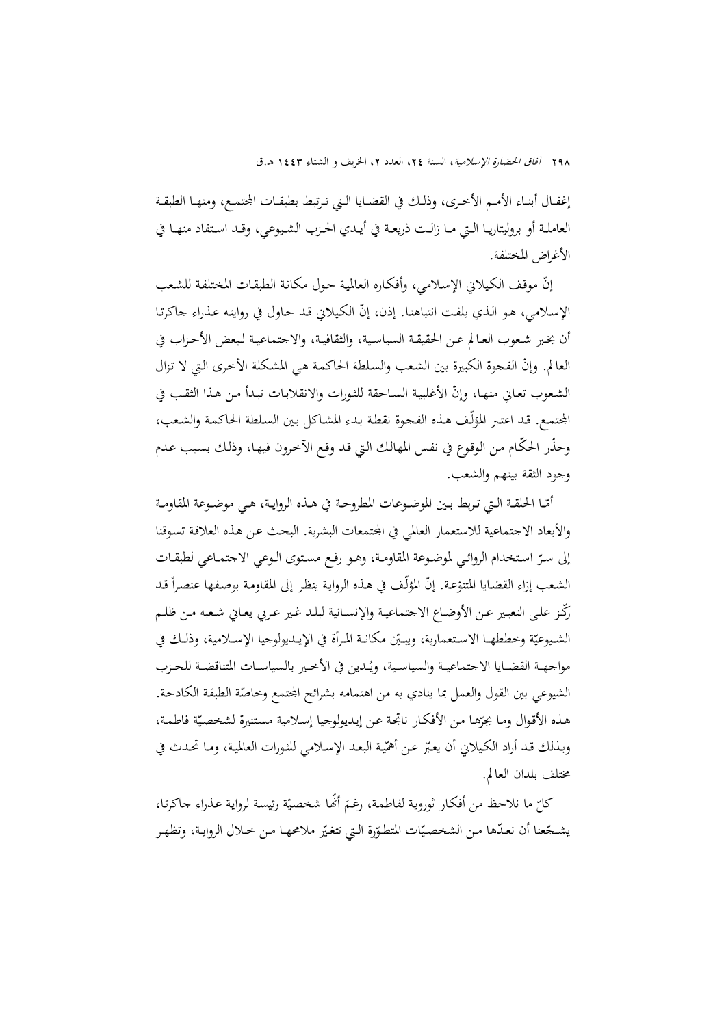إغفـال أبنـاء الأمـم الأخـرى، وذلـك في القضـايا الـتي تـرتبط بطبقـات الجحمـع، ومنهـا الطبقـة العاملــة أو بروليتاريــا الــتي مــا زالــت ذريعــة في أيــدي الحــزب الشــيوعي، وقــد اســتفاد منهــا في الأغراض المختلفة.

إنَّ موقف الكيلاني الإسلامي، وأفكاره العالمية حول مكانة الطبقات المختلفة للشعب الإسلامي، هـو الذي يلفت انتباهنا. إذن، إنّ الكيلاني قـد حـاول في روايته عـذراء جاكرتـا أن يخـبر شـعوب العـالم عـن الحقيقــة السياسـية، والثقافيـة، والاجتماعيـة لـبعض الأحــزاب في العالم. وإنّ الفحوة الكبيرة بين الشعب والسلطة الحاكمـة هـي المشكلة الأخرى الـتي لا تـزال الشـعوب تعـاني منهـا، وإنّ الأغلبيـة السـاحقة للثـورات والانقلابـات تبـدأ مـن هـذا الثقب في اجملتمـع. قـد اعتـبر المؤلّـف هـذه الفجـوة نقطـة بـدء المشـاكل بـين السـلطة الحاكمـة والشـعب، ّ وحذر ّ الحكـام مـن الوقـوع في نفـس المهالـك الـتي قـد وقـع الآخـرون فيهـا، وذلـك بسـبب عـدم وجود الثقة بينهم والشعب.

ّــا الحلقــة الــتي تــربط بــين الموضــوعات المطروحــة في هــذه الروايــة، هــي موضــوعة المقاومــة أم والأبعاد الاجتماعية للاستعمار العالمي في المجتمعات البشرية. البحث عـن هـذه العلاقـة تسوقنا إلى ســر اســتخدام الروائــي لموضــوعة المقاومــة، وهــو رفــع مســتوى الــوعي الاجتمــاعي لطبقــات ّ الشعب إزاء القضايا المتنوّعة. إنّ المؤلّف في هذه الرواية ينظر إلى المقاومة بوصفها عنصراً قد رَّكْز على التعبير عـن الأوضـاع الاجتماعيـة والإنسـانية لبلـد غـير عـربي يعـاني شـعبه مـن ظلـم الشـيوعيّة وخططهـا الاسـتعمارية، ويبـيّن مكانـة المـرأة في الإيـديولوجيا الإســلامية، وذلـك في مواجهـة القضـايا الاجتماعيـة والسياسـية، ويُـدين في الأخـير بالسياسـات المتناقضـة للحـزب الشيوعي بين القول والعمل بما ينادي به من اهتمامه بشرائح الجحمع وخاصّة الطبقة الكادحة. هـذه الأقوال ومـا يجرّهـا مـن الأفكـار ناتجـة عـن إيـديولوجيا إسلامية مستنيرة لشخصيّة فاطمـة، وبـذلك قـد أراد الكـيلاني أن يعبّر عـن أهمّية البعـد الإسـلامي للثـورات العالمية، ومـا تحـدث في مختلف بلدان العالم.

كلّ ما نلاحظ من أفكار ثوروية لفاطمة، رغـمَ أَهْـا شخصيّة رئيسة لرواية عذراء جاكرتا، يشـجّعنا أن نعـدّها مـن الشخصـيّات المتطوّرة الـتي تتغيّر ملامحهـا مـن خـلال الروايـة، وتظهـر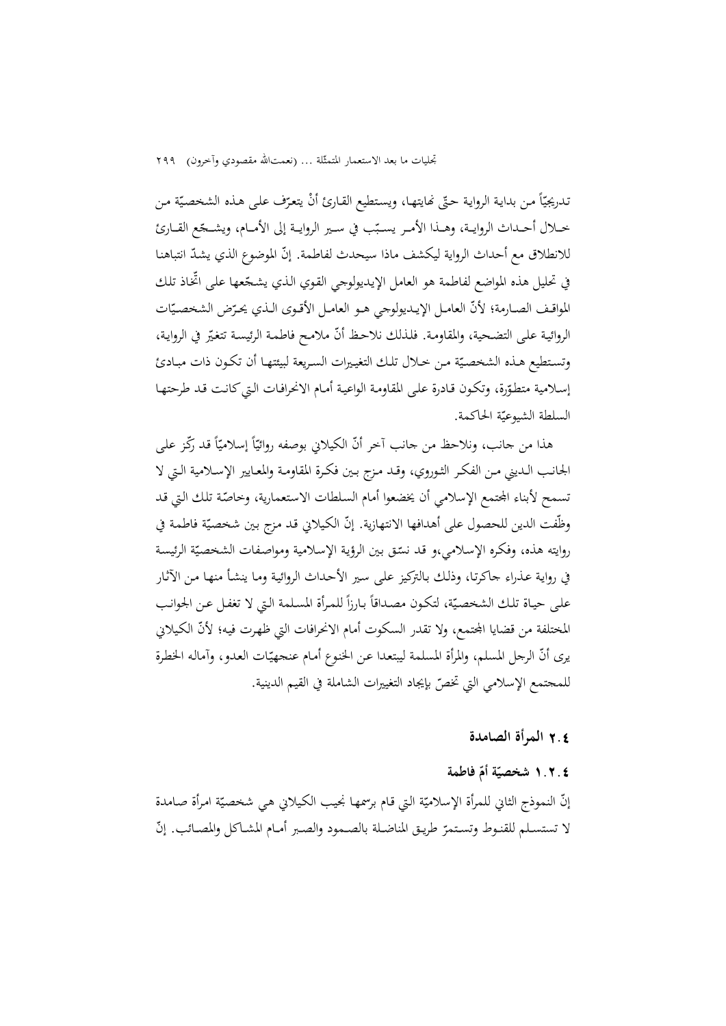ندريجيّاً من بداية الرواية حتّى نمايتها، ويستطيع القارئ أنْ يتعرّف على هذه الشخصيّة من خــلال أحــداث الروايــة، وهــذا الأمــر يسـبّب في ســير الروايــة إلى الأمــام، ويشــجّع القــارئ للانطلاق مع أحداث الرواية ليكشف ماذا سيحدث لفاطمة. إنّ الموضوع الذي يشدّ انتباهنا في تحليل هذه المواضع لفاطمة هو العامل الإيديولوجي القوي الذي يشـجّعها على اتخاذ تلك المواقـف الصــارمة؛ لأنّ العامــل الإيــديولوجي هــو العامــل الأقـوى الـذي يحـرّض الشخصـيّات الروائية على التضحية، والمقاومة. فلذلك نلاحظ أنّ ملامح فاطمة الرئيسة تتغيّر في الرواية، وتستطيع هـذه الشخصيّة مـن خـلال تلك التغييرات السـريعة لبيئتهـا أن تكـون ذات مبـادئ إسلامية متطوّرة، وتكون قـادرة على المقاومـة الواعيـة أمـام الانحرافـات الـتي كـانـت قـد طرحتهـا<br>. السلطة الشيوعيّة الحاكمة.

هذا من جانب، ونلاحظ من جانب آخر أنّ الكيلاني بوصفه روائيّاً إسلاميّاً قد رَكّز على الجانــب الــديني مــن الفكــر الثــوروي، وقــد مــزج بــين فكــرة المقاومــة والمعــايير الإســلامية الــتي لا تسمح لأبناء الجتمع الإسلامي أن يخضعوا أمام السلطات الاستعمارية، وخاصّة تلك التي قد وظّفت الدين للحصول على أهدافها الانتهازية. إنّ الكيلاني قد مزج بين شخصيّة فاطمة في روايته هذه، وفكره الإسلامي،و قد نسّق بين الرؤية الإسلامية ومواصفات الشخصيّة الرئيسة في روايـة عـذراء جاكرتـا، وذلـك بـالتركيز علـى سـير الأحـداث الروائيـة ومـا ينشـأ منهـا مـن الآثـار على حيـاة تلـك الشخصيّة، لتكون مصداقاً بـارزاً للمـرأة المسلمة التي لا تغفـل عـن الجوانب المختلفة من قضايا المجتمع، ولا تقدر السكوت أمام الانحرافات التي ظهرت فيه؛ لأنّ الكيلاني يرى أنّ الرجل المسلم، والمرأة المسلمة ليبتعدا عن الخنوع أمام عنجهيّات العدو، وآماله الخطرة للمجتمع الإسلامي التي ّ تخص بإيجاد التغييرات الشاملة في القيم الدينية.

#### 2**.**4 **المرأة الصامدة**

# **ّ ١.٢.٤ ة ّ أم فاطمة شخصي**

إنّ النموذج الثاني للمرأة الإسلاميّة التي قام برسمها نجيب الكيلاني هي شخصيّة امرأة صامدة لا تستسـلم للقنـوط وتسـتمرّ طريـق المناضـلة بالصــمود والصـبر أمـام المشــاكل والمصـائب. إنّ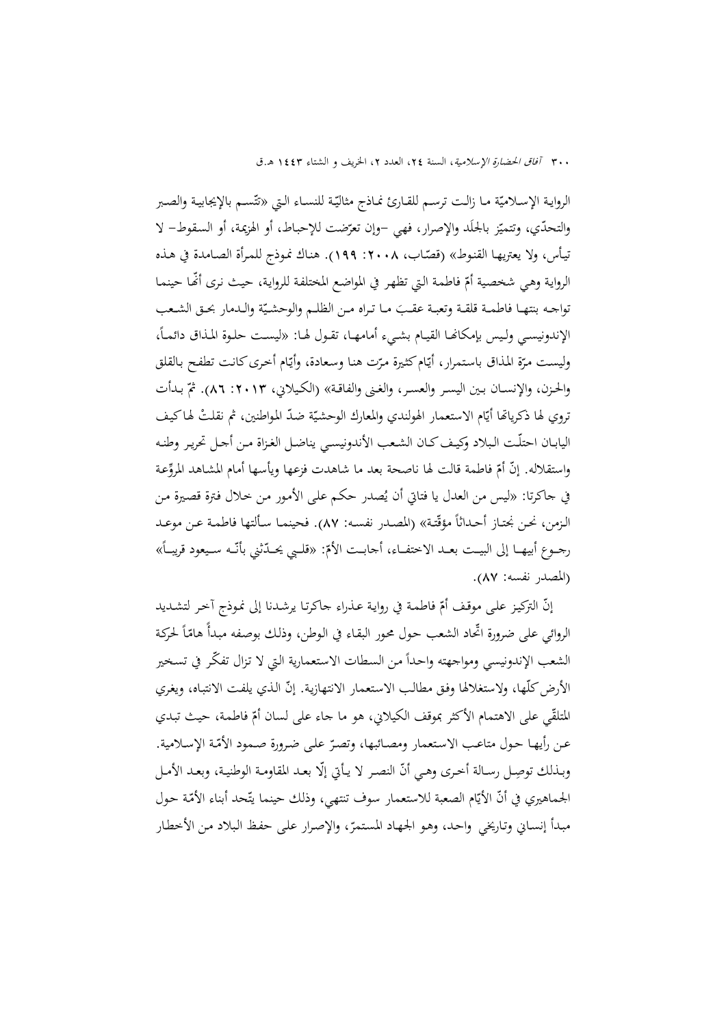٣٠٠ *آفاق الحضارة الإسلامية*، السنة ٢٤، العدد ٢، الخريف و الشتاء ١٤٤٣ هـ.ق

الروايـة الإسـلاميّـة مـا زالـت ترسـم للقـارئ نمـاذج مثاليّـة للنسـاء الـتي «تتّسـم بالإيجابيـة والصـبر والتحدّي، وتتميّز بالجلّد والإصرار، فهي –وإن تعرّضت للإحباط، أو الهزيمة، أو السقوط– لا تيأس، ولا يعتريهـا القنوط» (قصّاب، ٢٠٠٨. ١٩٩). هناك نموذج للمرأة الصـامدة في هـذه الرواية وهي شخصية أمّ فاطمة التي تظهر في المواضع المختلفة للرواية، حيث نرى أَنَّما حينما تواجــه بنتهـا فاطمـة قلقـة وتعبـة عقـبَ مــا تـراه مـن الظلــم والوحشـيّة والــدمار بحـق الشـعب<br>-الإندونيسـي ولـيس بإمكانهـا القيـام بشــيء أمامهـا، تقـول لهـا: «ليسـت حلـوة المـذاق دائمـاً، وليست مرّة المذاق باستمرار، أيّام كثيرة مرّت هنا وسعادة، وأيّام أخرى كانت تطفح بالقلق<br>-والحزن، والإنســان بـين اليســر والعسـر، والغـنى والفاقـة» (الكـيلاني، ١٣. ١٢. ٨٦). ثمّ بـدأت نروي لها ذكرياتها أيّام الاستعمار الهولندي والمعارك الوحشيّة ضدّ المواطنين، ثم نقلتْ لهاكيف اليابـان احتلّـت البلاد وكيـف كـان الشـعب الأندونيسـي يناضـل الغـزاة مـن أجـل تحريـر وطنـه واستقلاله. إنّ أمّ فاطمة قالت لها ناصحة بعد ما شاهدت فزعها ويأسها أمام المشاهد المروِّعة في حاكرتا: «ليس من العدل يا فتاتي أن يُصدر حكم على الأمور من حلال فترة قصيرة من<br>. الـزمن، نحـن نجتـاز أحـداثاً مؤقّتـة» (المصـدر نفسـه: ٨٧). فحينمـا سـألتها فاطمـة عـن موعـد رجــوع أبيهــا إلى البيــت بعــد الاختفــاء، أجابــت الأمّ: «قلــبي يحــدّثني بأنّــه ســيعود قريبـــأ»<br>. (المصدر نفسه: 87).

إنّ التركيز على موقف أمّ فاطمة في رواية عذراء جاكرتـا يرشدنا إلى نموذج آحر لتشديد<br>. الروائي على ضرورة اتحاد الشعب حول محور البقـاء في الـوطن، وذلك بوصـفه مبـدأً هامّـأ لحركة الشعب الإندونيسي ومواجهته واحداً من السطات الاستعمارية التي لا تزال تفكّر في تسخير الأرض كلّها، ولاستغلالها وفق مطالب الاستعمار الانتهازية. إنّ الذي يلفت الانتباه، ويغري المتلقّي على الاهتمام الأكثر بموقف الكيلاني، هو ما جاءِ على لسان أمّ فاطمة، حيث تبدي عن رأيهـا حـول متاعب الاستعمار ومصـائبها، وتصرّ علـى ضرورة صـمود الأمّـة الإسـلامية. وبـذلك توصِـل رسـالة أخـرى وهـي أنّ النصـر لا يـأتي إلّا بعـد المقاومـة الوطنيـة، وبعـد الأمـل الجماهيري في أنّ الأيّام الصعبة للاستعمار سوف تنتهي، وذلك حينما يتّحد أبناء الأمّة حول مبدأ إنساني وتاريخي واحد، وهو الجهاد المستمرّ، والإصرار على حفظ البلاد من الأخطار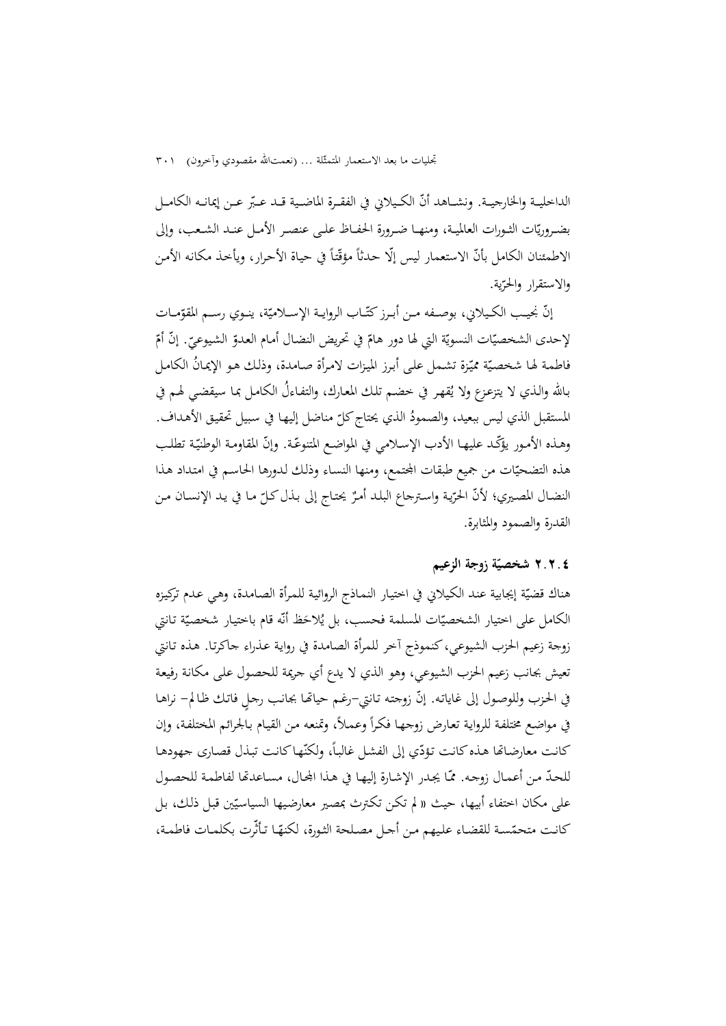الداخليــة والخارجيــة. ونشــاهد أنّ الكـيلاني في الفقـرة الماضـية قــد عـبّر عــن إيمانــه الكامــل بضـروريّات الثـورات العالميـة، ومنهـا ضـرورة الحفــاظ علـى عنصـر الأمـل عنــد الشـعب، وإلى الاطمئنان الكامل بأنّ الاستعمار ليس إلّا حدثاً مؤقّتاً في حياة الأحرار، ويأخذ مكانه الأمن والاستقرار والحر ّية.

إنّ نجيـب الكـيلاني، بوصــفه مـن أبـرز كتّــاب الروايــة الإســلاميّة، ينــوي رســم المقوّمــات لإحدى الشخصيّات النسويّة التي لها دور هامّ في تحريض النضال أمام العدوّ الشيوعيّ. إنّ أمّ<br>. فاطمة لها شخصيّة مميّزة تشمل على أبرز الميزات لامرأة صامدة، وذلك هو الإيمانُ الكامل<br>. بـالله والـذي لا يتزعـزع ولا يُقهـر في خضـم تلك المعـارك، والتفـاءلُ الكـامـل بمـا سيقضـي لهـم في المستقبل الذي ليس ببعيد، والصمودُ الذي يحتاج كلّ مناضل إليها في سبيل تحقيق الأهداف. وهـذه الأمـور يؤكّـد عليهـا الأدب الإسلامي في المواضـع المتنوعّـة. وإنّ المقاومـة الوطنيّـة تطلب هذه التضحيّات من جميع طبقات المحتمع، ومنها النساء وذلك لدورها الحاسم في امتداد هذا النضـال المصـيري؛ لأنّ الحرّية واسـترجاع البلـد أمـرٌ يحتـاج إلى بـذل كـلّ مـا في يـد الإنسـان مـن القدرة والصمود والمثابرة.

## **شخصي ّ ٢.٢.٤ ة زوجة الزعيم**

هناك قضيّة إيجابية عند الكيلاني في اختيار النمـاذج الروائية للمرأة الصـامدة، وهي عـدم تركيزه الكامل على اختيار الشخصيّات المسلمة فحسب، بل يُلاحَظ أنّه قام باختيار شخصيّة تـانتي زوجة زعيم الحزب الشيوعي،كنموذج آخر للمرأة الصامدة في روايـة عـذراء جاكرتـا. هـذه تـانتي تعيش بجانب زعيم الحزب الشيوعي، وهو الذي لا يدع أي جريمة للحصـول علـى مكانـة رفيعـة في الحزب وللوصول إلى غاياته. إنّ زوجته تانتي–رغم حياتها بجانب رحلٍ فاتك ظالم– نراهـا في مواضع مختلفة للرواية تعارض زوجها فكراً وعملاً، وتمنعه من القيام بالجرائم المختلفة، وإن كانت معارضاتها هذه كانت تؤدّي إلى الفشل غالباً، ولكنّها كانت تبذل قصارى جهودها للحدّ من أعمـال زوجـه. ممّا يجـدر الإشـارة إليهـا في هـذا الجحال، مسـاعدتّما لفاطمـة للحصـول على مكان اختفاء أبيها، حيث « لم تكن تكترث بمصير معارضيها السياسيّين قبل ذلك، بل<br>-كانت متحمّسة للقضاء عليهم من أحل مصلحة الثورة، لكنهّا تأثّرت بكلمات فاطمة،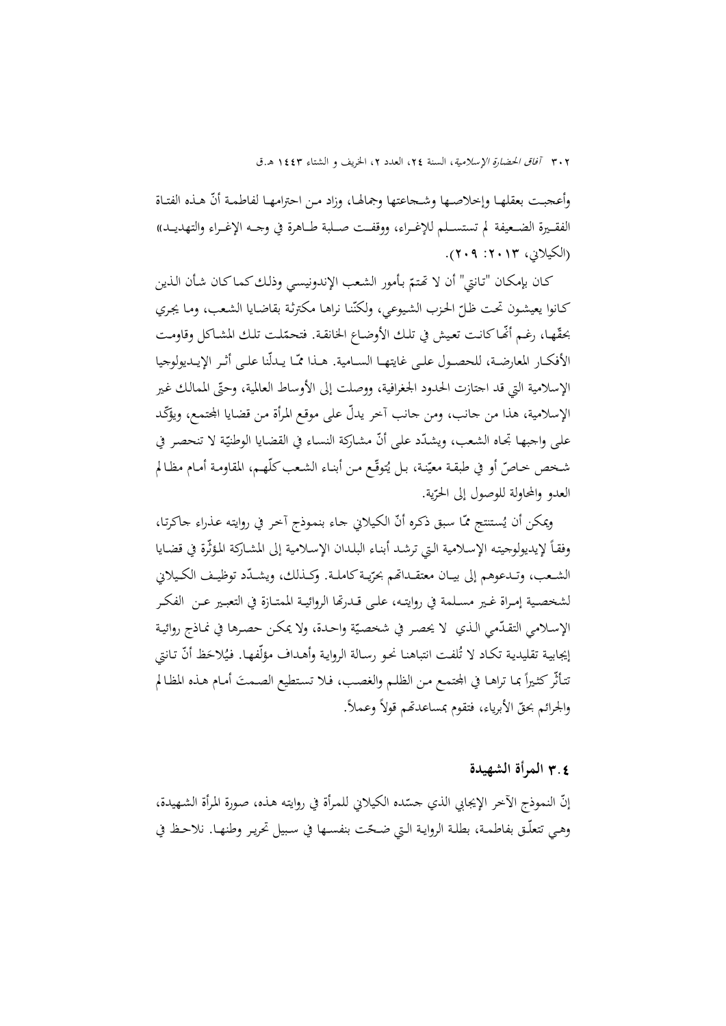وأعجبت بعقلهـا وإخلاصـها وشـجاعتها وجمالهـا، وزاد مـن احترامهـا لفاطمـة أنّ هـذه الفتـاة الفقـــيرة الضـــعيفة لم تستســـلم للإغـــراء، ووقفـــت صـــلبة طـــاهرة في وجـــه الإغـــراء والتهديـــد» (الكيلاني، ٢٠١٣: ٢٠٩).

كـان بإمكـان "تـانتي" أن لا تحتـمّ بأمور الشعب الإندونيسـي وذلك كـمـاكـان شـأن الـذين ّنـا نراهـا مكترثـة بقاضـايا الشـعب، ومـا يجـري ّ الحـزب الشـيوعي، ولكن كـانوا يعيشـون تحـت ظـل بحقّهـا، رغـم أنّهـاكانـت تعيش في تلك الأوضـاع الخانقـة. فتحمّلت تلك المشـاكل وقاومـت الأفكـار المعارضـة، للحصـول علـى غايتهـا الســامية. هــذا ممّـا يــدلّنا علـى أثـر الإيــديولوجيا الإسلامية التي قد اجتازت الحدود الجغرافية، ووصلت إلى الأوساط العالمية، وحتّى الممالك غير الإسلامية، هذا من جانب، ومن جانب آخر يدلّ على موقع المرأة من قضايا المجتمع، ويؤكّد على واجبها تجاه الشعب، ويشدّد على أنّ مشاركة النساء في القضايا الوطنيّة لا تنحصر في شـخص خـاصّ أو في طبقـة معيّنـة، بـل يُتوقّع مـن أبنـاء الشـعب كلّهـم، المقاومـة أمـام مظـالم العدو والمحاولة للوصول إلى الحر ّية.

ويمكن أن يُستنتج ممّـا سبق ذكره أنّ الكيلاني جاء بنموذج آخر في روايته عذراء جاكرتا، وفقـًا لإيديولوجيتـه الإسـلامية الـتي ترشـد أبنـاء البلـدان الإسـلامية إلى المشـاركة المؤثّرة في قضـايا الشـعب، وتـدعوهم إلى بيــان معتقـداتهم بحرّيـة كاملـة. وكـذلك، ويشــدّد توظيـف الكـيلاني لشخصــية إمــراة غــير مســلمة في روايتــه، علــى قــدرēا الروائيــة الممتــازة في التعبــير عــن الفكــر الإسلامي التقدّمي الذي لا يحصر في شخصيّة واحدة، ولا يمكن حصرها في نماذج روائية إيجابية تقليدية تكـاد لا تُلفت انتباهنا نحو رسـالة الروايـة وأهـداف مؤلّفهـا. فيُلاحَظ أنّ تـانتي تتأثّر كثيراً مما تراهـا في المحتمـع مـن الظلـم والغصـب، فـلا تستطيع الصـمتَ أمـام هـذه المظـالم والجرائم بحقّ الأبرياء، فتقوم بمساعدتمم قولاً وعملاً.

#### 3**.**4 **المرأة الشهيدة**

إنّ النموذج الأخر الإيجابي الذي جسّده الكيلاني للمرأة في روايته هذه، صورة المرأة الشهيدة، وهـي تتعلّـق بفاطمــة، بطلـة الروايـة الـتي ضــحّت بنفســها في سـبيل تحريـر وطنهــا. نلاحـظ في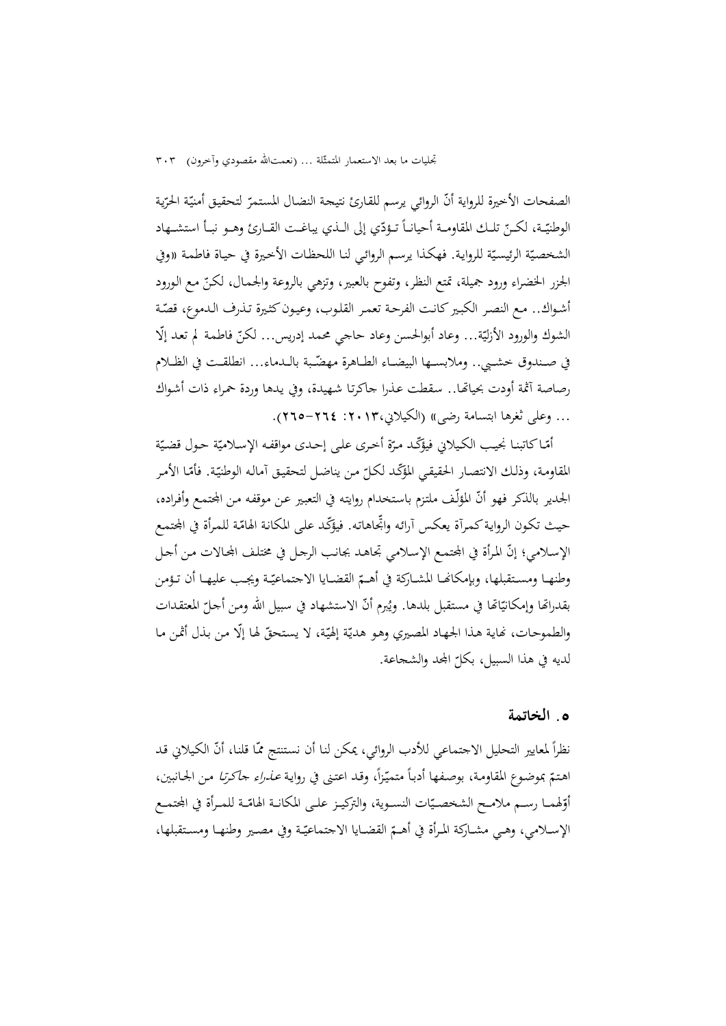الصفحات الأخيرة للرواية أنّ الروائي يرسم للقارئ نتيجة النضال المستمرّ لتحقيق أمنيّة الحرّية الوطنيّـة، لكـنّ تلـك المقاومــة أحيانــأ تــؤدّي إلى الــذي يباغــت القــارئ وهــو نبــأ استشــهاد الشخصيّة الرئيسيّة للرواية. فهكذا يرسم الروائي لنا اللحظات الأخيرة في حيـاة فاطمـة «وفي الجزر الخضراء ورود جميلة، تمتع النظر، وتفوح بالعبير، وتزهي بالروعة والجمـال، لكـنّ مـع الـورود أشـواك.. مـع النصـر الكبـير كـانـت الفرحـة تعمـر القلـوب، وعيـون كثـيرة تـذرف الـدموع، قصّـة الشوك والورود الأزليّة... وعاد أبوالحسن وعاد حاجي محمد إدريس... لكنّ فاطمة لم تعد إلّا في صـندوق خشـبي.. وملابســها البيضــاء الطــاهرة مهضّـبة بالــدماء... انطلقــت في الظــلام رصاصة آثمة أودت بحياتهـا.. سقطت عـذرا جاكرتـا شـهيدة، وفي يـدهـا وردة حمراء ذات أشـواك ... وعلى ثغرها ابتسامة رضى» (الكيلاني:2013، 265-264).

امّـا كاتبنا نجيب الكيلاني فيؤكّد مرّة أخرى على إحدى مواقفه الإسلاميّة حول قضيّة المقاومة، وذلك الانتصار الحقيقي المؤكّد لكلّ من يناضل لتحقيق أماله الوطنيّة. فأمّا الأمر<br>-الجدير بالذكر فهو أنّـ المؤلّف ملتزم باستخدام روايته في التعبير عن موقفه من المحتمع وأفراده، حيث تكون الرواية كمرآة يعكس أرائه واتجاهاته. فيؤكّد على المكانة الهامّة للمرأة في المجتمع الإسلامي؛ إنّ المرأة في المجتمع الإسلامي تجاهـد بجانب الرجـل في مختلـف المجـالات مـن أجـل وطنهـا ومسـتقبلها، وبإمكانهـا المشـاركة في أهــمّ القضـايا الاجتماعيّـة ويجـب عليهـا أن تـؤمن بقدراتها وإمكانيّاتها في مستقبل بلدها. ويُبرم أنّ الاستشهاد في سبيل الله ومن أحلّ المعتقدات<br>. والطموحات، نماية هذا الجهاد المصيري وهو هديّة إلهيّة، لا يستحقّ لها إلّا من بذل أثمن ما لديه في هذا السبيل، بكل ّ اجملد والشجاعة.

#### **.**5 **الخاتمة**

نظراً لمعايير التحليل الاجتماعي للأدب الروائي، يمكن لنا أن نستنتج ممّا قلنا، أنّ الكيلاني قد اهتمّ بموضوع المقاومة، بوصفها أدباً متميّزاً، وقد اعتنى في رواية *عـذراء حاكرتا* مـن الجـانبين،<br>. أوّلهمــا رســم ملامـح الشخصـيّات النسـوية، والتركيـز علــى المكانــة الهامّــة للمـرأة في المجتمــع الإســلامي، وهـي مشــاركة المرأة في أهــمّ القضــايا الاجتماعيّـة وفي مصـير وطنهـا ومسـتقبلها،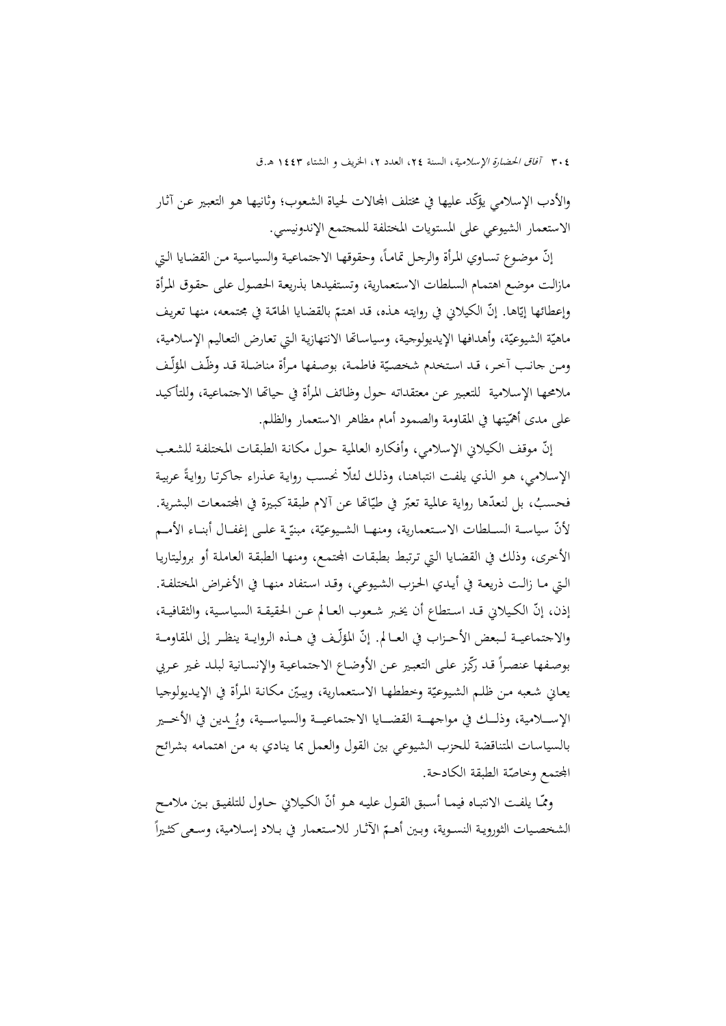والأدب الإسلامي يؤكّد عليها في مختلف المحالات لحياة الشعوب؛ وثانيهـا هـو التعبير عـن آثـار الاستعمار الشيوعي على المستويات المختلفة للمجتمع الإندونيسي.

إنّ موضوع تسـاوي المرأة والرجل تماماً، وحقوقها الاجتماعية والسياسية من القضايا التي مازالـت موضـع اهتمـام السـلطات الاسـتعمارية، وتسـتفيدها بذريعـة الحصـول علـى حقـوق المـرأة وإعطائها إيّاها. إنّ الكيلاني في روايته هـذه، قـد اهتـمّ بالقضـايا الهامّـة في مجتمعه، منهـا تعريف<br>-ماهيّة الشيوعيّة، وأهدافها الإيديولوجية، وسياساتّما الانتهازية التي تعارض التعاليم الإسلامية، ومن حانب أخر، قـد استخدم شخصيّة فاطمـة، بوصفها مرأة مناضلة قـد وظّف المؤلّف ملامحهـا الإسـلامية للتعبـير عـن معتقداتـه حـول وظـائف المـرأة في حياēـا الاجتماعيـة، وللتأكيـد على مدى أهمّيتها في المقاومة والصمود أمام مظاهر الاستعمار والظلم.

إنّ موقف الكيلاني الإسلامي، وأفكاره العالمية حول مكانة الطبقات المختلفة للشعب الإسلامي، هـو الـذي يلفت انتباهنـا، وذلك لـئلًا نحسب روايـة عـذراء جاكرتـا روايةً عربيـة فحسبُ، بل لنعدّها رواية عالمية تعبّر في طيّاتها عن ألام طبقة كبيرة في المجتمعات البشرية.<br>. لأنّ سياســة الســلطات الاسـتعمارية، ومنهــا الشــيوعيّة، مبنيّــة علــى إغفــال أبنــاء الأمــم الأخرى، وذلك في القضـايا الـتي ترتبط بطبقـات المحتمـع، ومنهـا الطبقـة العاملـة أو بروليتاريـا الـتي مـا زالـت ذريعـة في أيـدي الحـزب الشـيوعي، وقـد اسـتفاد منهـا في الأغـراض المختلفـة. إذن، إنّ الكـيلاني قـد اسـتطاع أن يخبر شـعوب العـالم عـن الحقيقـة السياسـية، والثقافيـة، والاجتماعيــة لـبعض الأحــزاب في العــالم. إنّ المؤلّــف في هــذه الروايــة ينظـر إلى المقاومــة بوصفها عنصراً قد رَكّبز على التعبير عن الأوضاع الاجتماعية والإنسـانية لبلـد غير عربي يعاني شعبه من ظلم الشيوعيّة وخططهـا الاستعمارية، ويبيّن مكانـة المرأة في الإيديولوجيا الإســــلامية، وذلــك في مواجهـــة القضـــايا الاجتماعيـــة والسياســية، ويُـ لدين في الأخـــير بالسياسات المتناقضة للحزب الشيوعي بين القول والعمل بما ينادي به من اهتمامه بشرائح المجتمع وخاصّة الطبقة الكادحة.

ومّــا يلفـت الانتبـاه فيمــا أسـبق القـول عليـه هـو أنّ الكـيلاني حــاول للتلفيـق بـين ملامـح  $\overline{a}$ الشخصيات الثورويـة النسـوية، وبـين أهـمّ الآثـار للاستعمار في بـلاد إسـلامية، وسـعى كثـيراً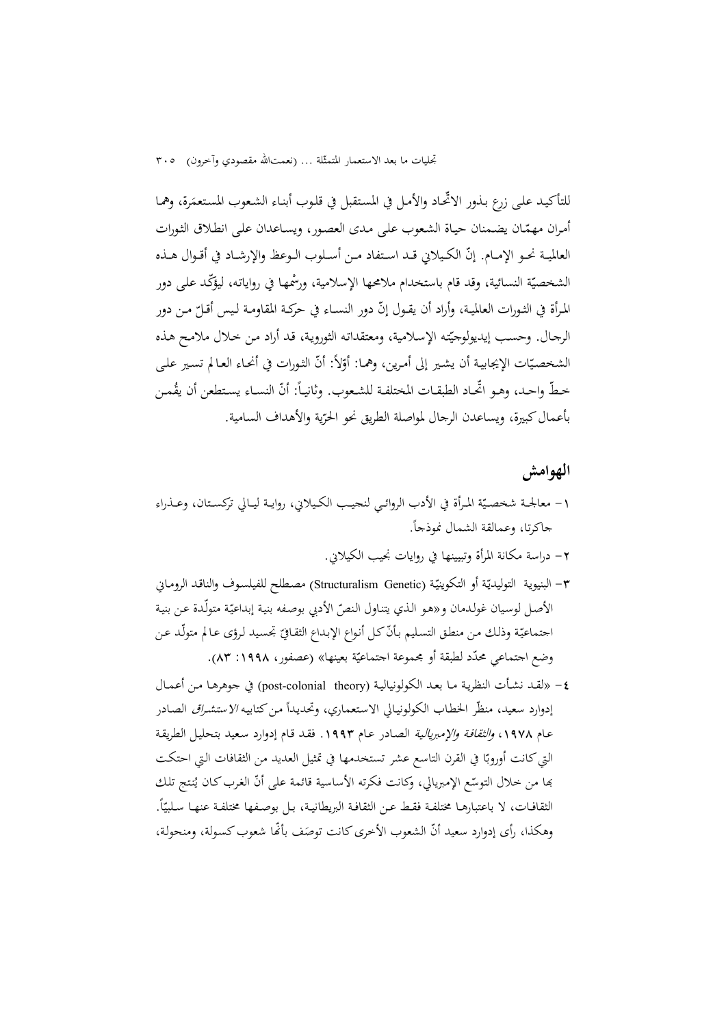للتأكيـد علـى زرع بـذور الاتحـاد والأمـل في المستقبل في قلـوب أبنـاء الشـعوب المستعمَرة، وهمـا أمران مهمّـان يضـمنان حياة الشعوب على مـدى العصور، ويسـاعدان على انطلاق الثورات العالميـة نحـو الإمـام. إنّ الكـيلاني قــد اسـتفاد مـن أسـلوب الـوعظ والإرشـاد في أقـوال هــذه الشخصيّة النسائية، وقد قام باستخدام ملامحها الإسلامية، ورسُّمها في رواياته، ليؤكّد على دور المرأة في الثـورات العالميـة، وأراد أن يقـول إنّ دور النسـاء في حركـة المقاومـة لـيس أقـلّ مـن دور الرجـال. وحسب إيديولوجيّته الإسلامية، ومعتقداته الثورويـة، قـد أراد مـن خـلال ملامـح هـذه الشخصيّات الإيجابية أن يشير إلى أمرين، وهمـا: أوّلاً: أنّ الثورات في أنحـاء العـالم تسـير علـى خطّ واحـد، وهـو اتحـاد الطبقـات المختلفـة للشـعوب. وثانيـًا: أنّ النسـاء يسـتطعن أن يقُمـن بأعمالكبيرة، ويساعدن الرجال لمواصلة الطريق نحو الحر ّية والأهداف السامية.

## **الهوامش**

- ١- معالجـة شخصيّة المرأة في الأدب الروائـي لنحيـب الكـيلاني، روايــة ليــالي تركسـتان، وعــذراء جاكرتا، وعمالقة الشمال نموذجا .ً
	- -2 دراسة مكانة المرأة وتبيينها في روايات نجيب الكيلاني.
- ٣– البنيوية التوليديّة أو التكوينيّة (Structuralism Genetic) مصطلح للفيلسوف والناقـد الرومـاني الأصل لوسيان غولدمان و«هو الذي يتناول النصّ الأدبي بوصفه بنية إبداعيّة متولّدة عن بنية اجتماعيّـة وذلك من منطق التسليم بأنّـ كل أنواع الإبداع الثقـاقيّ تجسيد لرؤى عـالم متولّد عـن وضع اجتماعي محدّد لطبقة أو مجموعة اجتماعيّة بعينها» (عصفور، ١٩٩٨: ٨٣).<br>-
- -4 «لقـد نشـأت النظريـة مـا بعـد الكولونياليـة (theory colonial-post (في جوهرهـا مـن أعمـال إدوارد سعيد، منظّر الخطاب الكولونيالي الاستعماري، وتحديداً من كتابيه *الاستشراق* الصادر عـام ١٩٧٨، و*الثقافة والإمبريالية* الصـادر عـام ١٩٩٣. فقـد قـام إدوارد سـعيد بتحليـل الطريقـة التي كانت أوروبّا في القرن التاسع عشر تستخدمها في تمثيل العديد من الثقافات التي احتكت بَما من خلال التوسّع الإمبريالي، وكانت فكرته الأساسية قائمة على أنّ الغرب كـان يُنتج تلك الثقافـات، لا باعتبارهـا مختلفـة فقـط عـن الثقافـة البريطانيـة، بـل بوصـفـها مختلفـة عنـهـا سـلبيّاً. وهكذا، رأى إدوارد سعيد أنّ الشعوب الأخرى كانت توصَف بأنَّما شعوب كسولة، ومنحولة،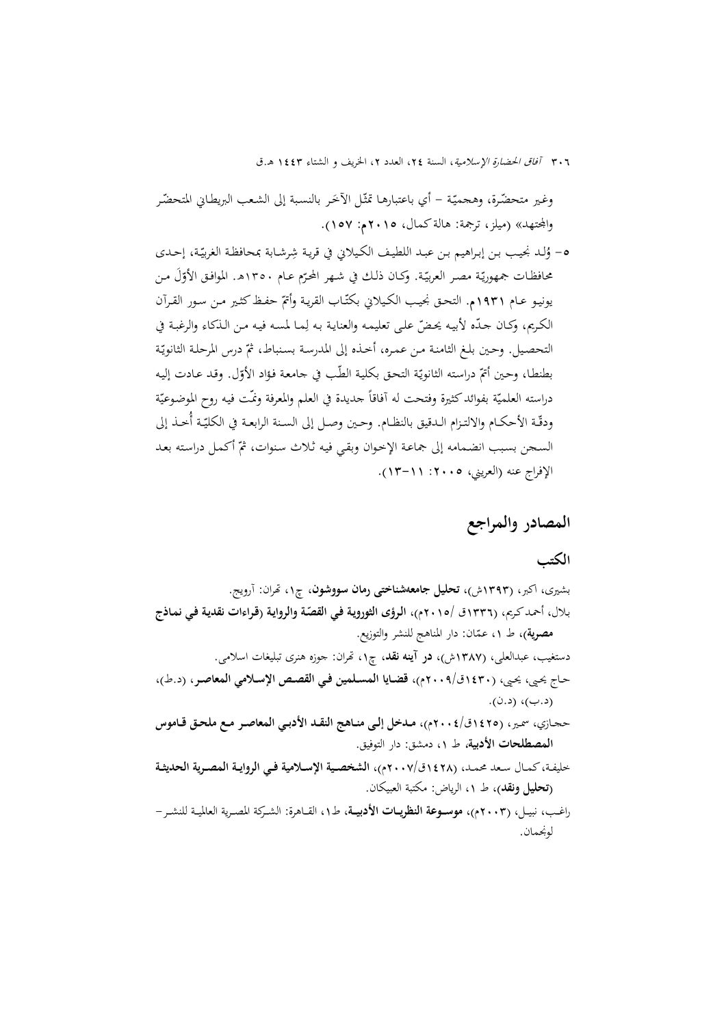٣٠٦ *آفاق الحضارة الإسلامية*، السنة ٢٤، العدد ٢، الخريف و الشتاء ١٤٤٣ هـ.ق

وغير متحضّرة، وهجميّة – أي باعتبارهـا تمثّل الأخر بالنسبة إلى الشعب البريطـاني المتحضّر واجملتهد» (ميلز، ترجمة: هالةكمال، 2015م: 157).

ه- وُلـد نجيب بـن إبـراهيم بـن عبـد اللطيف الكيلاني في قريـة شِرشـابة بمحافظة الغربيّـة، إحـدي محافظـات جمهوريّة مصـر العربيّة. وكـان ذلـك في شـهر المحرّم عـام ١٣٥٠هـ. الموافـق الأوّلُ مـن يونيو عـام ١٩٣١م. التحـق نجيب الكيلاني بكتّـاب القريـة وأتمّ حفـظ كثـير مـن سـور القـرآن الكريم، وكـان حـدّه لأبيـه يحضّ علـى تعليمـه والعنايـة بـه لِمـا لمسـه فيـه مـن الـذكاء والرغبـة في التحصيل. وحين بلـغ الثامنـة مـن عمـره، أخـذه إلى المدرسـة بسـنباط، ثمّ درس المرحلـة الثانويّـة بطنطـا، وحـين أتمّ دراسته الثانويّة التحق بكلية الطّب في جامعة فؤاد الأوّل. وقـد عـادت إليه دراسته العلميّة بفوائد كثيرة وفتحت له أفاقاً حديدة في العلم والمعرفة ونمّت فيه روح الموضوعيّة ودقّة الأحكــام والالتــزام الـدقيق بالنظــام. وحـين وصـل إلى الســنة الرابعـة في الكليّـة أخــذ إلى السـجن بسبب انضـمامه إلى جماعـة الإخـوان وبقـي فيه ثـلاث سنوات، ثمّ أكـمـل دراسته بعـد الإفراج عنه (العريني، ٢٠٠٥: ١٦-١٣).

# **المصادر والمراجع**

## **الكتب**

لونجمان.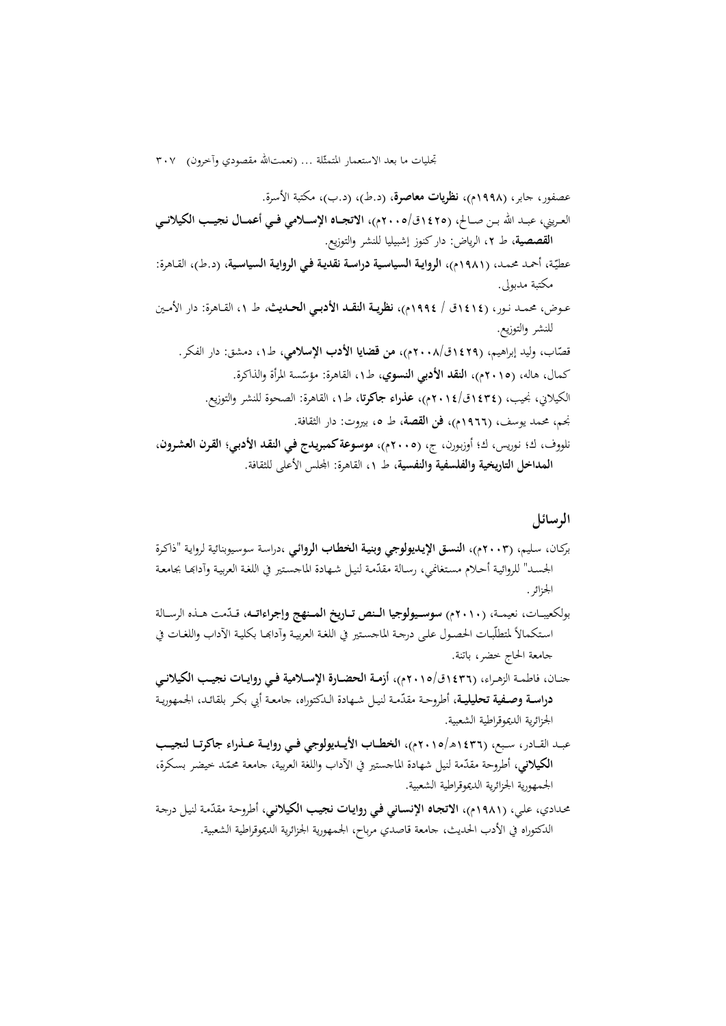تجليات ما بعد الاستعمار المتمثّلة ... (نعمتالله مقصودي وآخرون) ٣٠٧

عصفور، جابر، (1998م)، **نظريات معاصرة**، (د.ط)، (د.ب)، مكتبة الأسرة. العــريني، عبــد االله بــن صــالح، (1425ق2005/م)، **الاتجــاه الإســلامي فــي أعمــال نجيــب الكيلانــي القصصية**، ط ،2 الرياض: داركنوز إشبيليا للنشر والتوزيع. عطي <sup>1981</sup>م)، **الروايـة السياسـية دراسـة نقديـة فـي الروايـة السياسـية**، (د.ط)، القـاهرة: ّـة، أحمـد محمـد، ( مكتبة مدبولى. عــوض، محمــد نــور، (1414ق / 1994م)، **نظريــة النقــد الأدبــي الحــديث**، ط ،1 القــاهرة: دار الأمــين للنشر والتوزيع. قص 1429ق2008/م)، **من قضايا الأدب الإسلامي**، ط،1 دمشق: دار الفكر. ّاب، وليد إبراهيم، ( ، القاهرة: مؤس ّ كمال، هاله، (2015م)، **النقد الأدبي النسوي،** ط<sup>1</sup> سة المرأة والذاكرة. الكيلاني، نجيب، (1434ق2014/م)، **عذراء جاكرتا**، ط،1 القاهرة: الصحوة للنشر والتوزيع. نجم، محمد يوسف، (1966م)، **فن القصة**، ط ،5 بيروت: دار الثقافة. نلووف، ك؛ نـوريس، ك؛ أوزبـورن، ج، (2005م)، **موسـوعةكمبريـدج فـي النقـد الأدبـي؛ القـرن العشـرون، المداخل التاريخية والفلسفية والنفسية**، ط ،1 القاهرة: اجمللس الأعلى للثقافة.

## **الرسائل**

- بركـان، سـليم، (2003م)، **النسـق الإيـديولوجي وبنيـة الخطـاب الروائـي** ،دراسـة سوسـيوبنائية لروايـة "ذاكـرة الجسـد" للروائيـة أحـلام مسـتغانمي، رسـالة مقدّمة لنيـل شـهادة الماجسـتير في اللغـة العربيـة وآدابهـا بجامعـة الجزائر.
- ّ بولكعيبــات، نعيمــة، (2010م) **سوســـيولوجيا الـــنص تـــاريخ المـــنهج وإجراءاتـــه** مت هــذه الرســالة ، قــد استكمالاً لمتطلّبـات الحصـول على درجـة الماجسـتير في اللغـة العربيـة وآدابَمـا بكليـة الآداب واللغـات في جامعة الحاج خضر، باتنة.
- جنــان، فاطمــة الزهــراء، (1436ق2015/م)، **أزمــة الحضــارة الإســلامية فــي روايــات نجيــب الكيلانــي** أطروحــة ّ مقد **دراســة وصــفية تحليليــة،** مــة لنيــل شــهادة الــدكتوراه، جامعــة أبي بكــر بلقائــد، الجمهوريــة الجزائرية الديموقراطية الشعبية.
- عبــد القــادر، ســبع، (1436ه2015/م)، **الخطــاب الأيــديولوجي فــي روايــة عــذراء جاكرتــا لنجيــب** ا**لكيلاني**، أطروحة مقدّمة لنيل شهادة الماجستير في الآداب واللغة العربية، جامعة محمّد خيضر بسكرة، الجمهورية الجزائرية الديموقراطية الشعبية.
- محـدادي، علـي، (1981م)، **الاتجـاه الإنسـاني فـي روايـات نجيـب الكيلانـي**، أطروحـة ّ مقدمـة لنيـل درجـة الدكتوراه في الأدب الحديث، جامعة قاصدي مرباح، الجمهورية الجزائرية الديموقراطية الشعبية.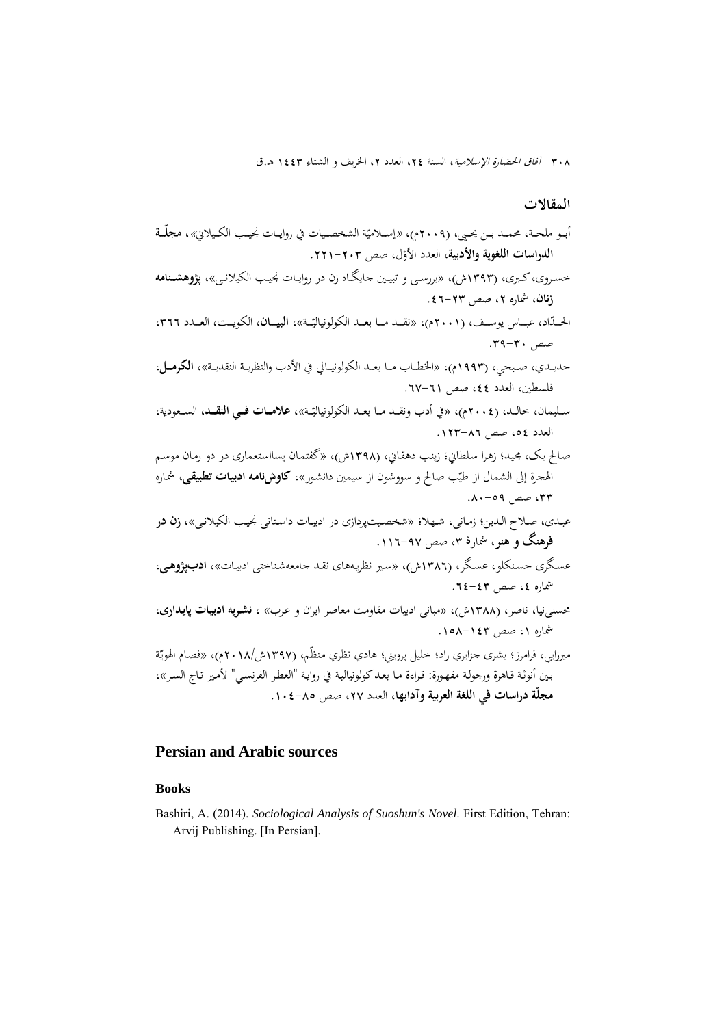#### **المقالات**

- أبـو ملحـة، محمــد بـن يحـيي، (٢٠٠٩م)، «إســلاميّة الشخصـيات في روايــات نجيـب الكـيلاني»، **مجلــة**<br>. ا**لدراسات اللغوية والأدبية**، العدد الأوّل، صص ٢٠٣-٢٢١.
- خســروی،كــبرى، (1393ش)، «بررســی و تبيــين جايگــاه زن در روايــات نجيــب الکيلانــی»، **پژوهشــنامه زنان**، شماره ۲، صص ۲۳–۶**۱**.
- الحــدّاد، عبــاس يوســف، (٢٠٠١م)، «نقــد مــا بعــد الكولونياليّــة»، ا**لبيـــان**، الكويــت، العــدد ٣٦٦، صص ٣٠-٣٩.
- حديــدي، صــبحي، (1993م)، «الخطــاب مــا بعــد الكولونيــالي في الأدب والنظريــة النقديــة»، **الكرمـــل**، فلسطين، العدد ٤٤، صص ٦١–٦٧.
- في أدب ونقــد مــا بعــد الكولونيالي »، **علامـــات فـــي النقـــد**، الســعودية، ّ ســليمان، خالــد، (2004م)، « ــة العدد ،54 صص .123-86
- صـالح بـک، مجيـد؛ زهـرا سـلطاني؛ زينـب دهقـاني، (1398ش)، «گفتمـان پسااسـتعماری در دو رمـان موسـم الهجرة إلى الشمال از طيّب صالح و سووشون از سيمين دانشور»، **كاوشiامه ادبيات تطبيق**ى، شماره ،33 صص .80-59
- عبـدی، صـلاح الـدين؛ زمـانی، شـهلا؛ «شخصـيتپردازی در ادبيـات داسـتانی نجيـب الکيلانـی»، **زن در فرهنگ و هنر**، شمارۀ ،3 صص .116-97
- عسـگری حسـنکلو، عسـگر، (1386ش)، «سـير نظريـههای نقـد جامعهشـناختی ادبيـات»، **ادبپژوهــی**، شماره ،4 صص ٤٣-٢٤-
- محسنینيا، ناصر، (1388ش)، «مبانی ادبيات مقاومت معاصر ايران و عـرب» ، **نشـريه ادبيـات پايـداری**، شماره ،1 صص .158-143

ميرزايي، فرامرز؛ بشرى جزايري راد؛ خليل پرويني؛ هادي نظري منظّم، (١٣٩٧ش/١٣٩٨م)، «فصام الهويّة بـين أنوثـة قـاهرة ورجولـة مقهـورة: قـراءة مـا بعـدكولونياليـة في روايـة "العطـر الفرنسـي" لأمـير تـاج السـر»، **ّة دراسات في اللغة العربية وآدابها**، العدد ،27 صص .104-85 **مجل**

#### **Persian and Arabic sources**

#### **Books**

Bashiri, A. (2014). *Sociological Analysis of Suoshun's Novel*. First Edition, Tehran: Arvij Publishing. [In Persian].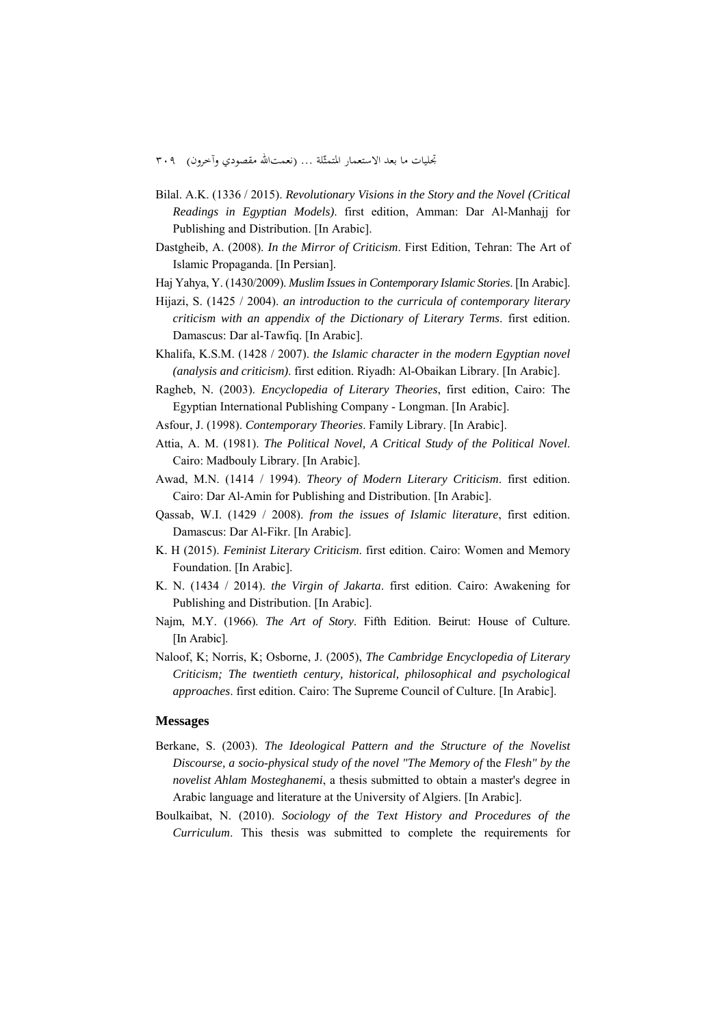- Bilal. A.K. (1336 / 2015). *Revolutionary Visions in the Story and the Novel (Critical Readings in Egyptian Models)*. first edition, Amman: Dar Al-Manhajj for Publishing and Distribution. [In Arabic].
- Dastgheib, A. (2008). *In the Mirror of Criticism*. First Edition, Tehran: The Art of Islamic Propaganda. [In Persian].
- Haj Yahya, Y. (1430/2009). *Muslim Issues in Contemporary Islamic Stories*. [In Arabic].
- Hijazi, S. (1425 / 2004). *an introduction to the curricula of contemporary literary criticism with an appendix of the Dictionary of Literary Terms*. first edition. Damascus: Dar al-Tawfiq. [In Arabic].
- Khalifa, K.S.M. (1428 / 2007). *the Islamic character in the modern Egyptian novel (analysis and criticism)*. first edition. Riyadh: Al-Obaikan Library. [In Arabic].
- Ragheb, N. (2003). *Encyclopedia of Literary Theories*, first edition, Cairo: The Egyptian International Publishing Company - Longman. [In Arabic].
- Asfour, J. (1998). *Contemporary Theories*. Family Library. [In Arabic].
- Attia, A. M. (1981). *The Political Novel, A Critical Study of the Political Novel*. Cairo: Madbouly Library. [In Arabic].
- Awad, M.N. (1414 / 1994). *Theory of Modern Literary Criticism*. first edition. Cairo: Dar Al-Amin for Publishing and Distribution. [In Arabic].
- Qassab, W.I. (1429 / 2008). *from the issues of Islamic literature*, first edition. Damascus: Dar Al-Fikr. [In Arabic].
- K. H (2015). *Feminist Literary Criticism*. first edition. Cairo: Women and Memory Foundation. [In Arabic].
- K. N. (1434 / 2014). *the Virgin of Jakarta*. first edition. Cairo: Awakening for Publishing and Distribution. [In Arabic].
- Najm, M.Y. (1966). *The Art of Story*. Fifth Edition. Beirut: House of Culture. [In Arabic].
- Naloof, K; Norris, K; Osborne, J. (2005), *The Cambridge Encyclopedia of Literary Criticism; The twentieth century, historical, philosophical and psychological approaches*. first edition. Cairo: The Supreme Council of Culture. [In Arabic].

#### **Messages**

- Berkane, S. (2003). *The Ideological Pattern and the Structure of the Novelist Discourse, a socio-physical study of the novel "The Memory of* the *Flesh" by the novelist Ahlam Mosteghanemi*, a thesis submitted to obtain a master's degree in Arabic language and literature at the University of Algiers. [In Arabic].
- Boulkaibat, N. (2010). *Sociology of the Text History and Procedures of the Curriculum*. This thesis was submitted to complete the requirements for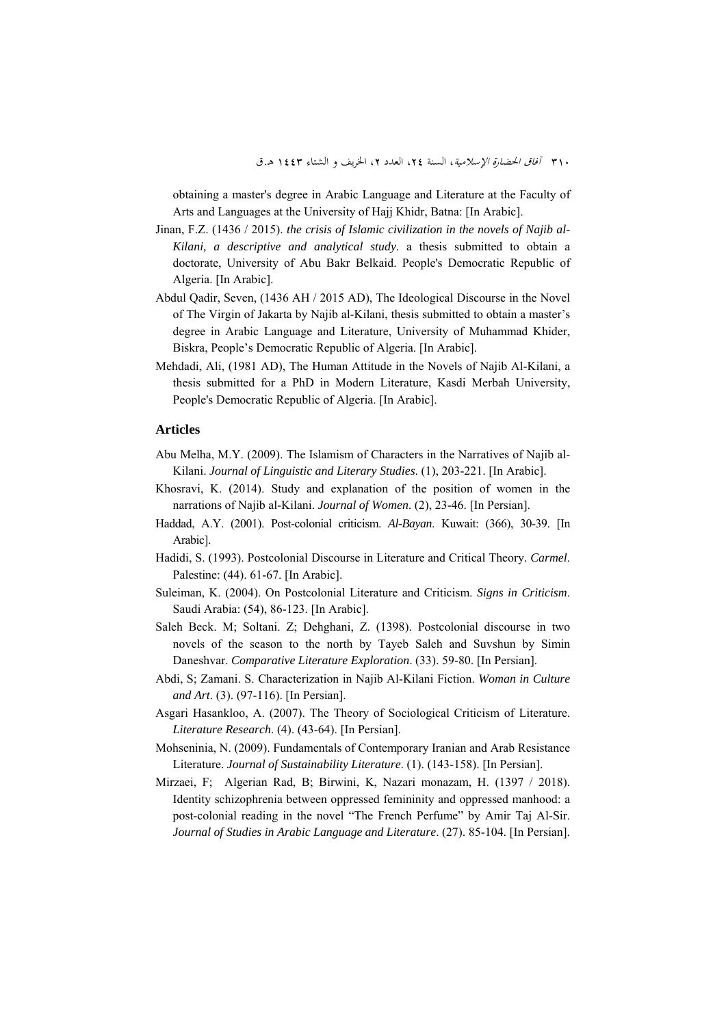٣١٠ *آفاق الحضارة الإسلامية*، السنة ٢٤، العدد ٢، الخريف و الشتاء ١٤٤٣ هـ.ق

obtaining a master's degree in Arabic Language and Literature at the Faculty of Arts and Languages at the University of Hajj Khidr, Batna: [In Arabic].

- Jinan, F.Z. (1436 / 2015). *the crisis of Islamic civilization in the novels of Najib al-Kilani, a descriptive and analytical study*. a thesis submitted to obtain a doctorate, University of Abu Bakr Belkaid. People's Democratic Republic of Algeria. [In Arabic].
- Abdul Qadir, Seven, (1436 AH / 2015 AD), The Ideological Discourse in the Novel of The Virgin of Jakarta by Najib al-Kilani, thesis submitted to obtain a master's degree in Arabic Language and Literature, University of Muhammad Khider, Biskra, People's Democratic Republic of Algeria. [In Arabic].
- Mehdadi, Ali, (1981 AD), The Human Attitude in the Novels of Najib Al-Kilani, a thesis submitted for a PhD in Modern Literature, Kasdi Merbah University, People's Democratic Republic of Algeria. [In Arabic].

#### **Articles**

- Abu Melha, M.Y. (2009). The Islamism of Characters in the Narratives of Najib al-Kilani. *Journal of Linguistic and Literary Studies*. (1), 203-221. [In Arabic].
- Khosravi, K. (2014). Study and explanation of the position of women in the narrations of Najib al-Kilani. *Journal of Women*. (2), 23-46. [In Persian].
- Haddad, A.Y. (2001). Post-colonial criticism. *Al-Bayan*. Kuwait: (366), 30-39. [In Arabic].
- Hadidi, S. (1993). Postcolonial Discourse in Literature and Critical Theory. *Carmel*. Palestine: (44). 61-67. [In Arabic].
- Suleiman, K. (2004). On Postcolonial Literature and Criticism. *Signs in Criticism*. Saudi Arabia: (54), 86-123. [In Arabic].
- Saleh Beck. M; Soltani. Z; Dehghani, Z. (1398). Postcolonial discourse in two novels of the season to the north by Tayeb Saleh and Suvshun by Simin Daneshvar. *Comparative Literature Exploration*. (33). 59-80. [In Persian].
- Abdi, S; Zamani. S. Characterization in Najib Al-Kilani Fiction. *Woman in Culture and Art*. (3). (97-116). [In Persian].
- Asgari Hasankloo, A. (2007). The Theory of Sociological Criticism of Literature. *Literature Research*. (4). (43-64). [In Persian].
- Mohseninia, N. (2009). Fundamentals of Contemporary Iranian and Arab Resistance Literature. *Journal of Sustainability Literature*. (1). (143-158). [In Persian].
- Mirzaei, F; Algerian Rad, B; Birwini, K, Nazari monazam, H. (1397 / 2018). Identity schizophrenia between oppressed femininity and oppressed manhood: a post-colonial reading in the novel "The French Perfume" by Amir Taj Al-Sir. *Journal of Studies in Arabic Language and Literature*. (27). 85-104. [In Persian].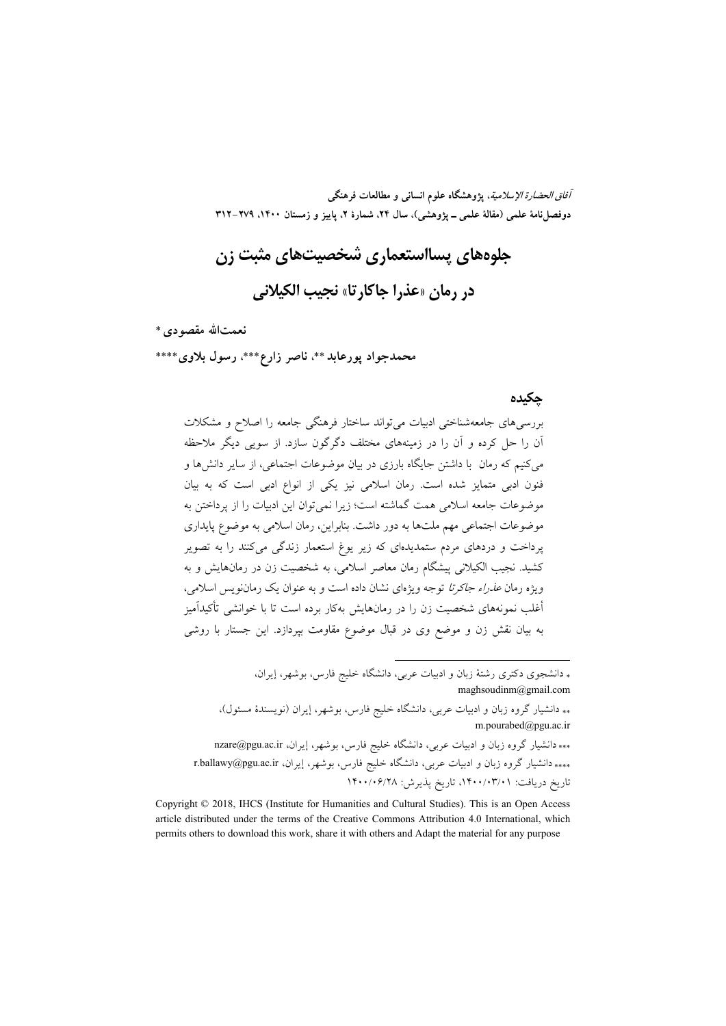**آفاق الحضارة الإسلامية، پژوهشگاه علوم انساني و مطالعات فرهنگي**  دوفصل نامهٔ علمی (مقالهٔ علمی ــ یژوهشی)، سال ۲۴، شمارهٔ ۲، پاییز و زمستان ۱۴۰۰، ۲۷۹–۳۱۲

**جلوههاي پسااستعماري شخصيتهاي مثبت زن در رمان «عذرا جاكارتا» نجيب الكيلاني** 

**نعمتاالله مقصودي**\*\*\*

**محمدجواد پورعابد**\*\*، **ناصر زارع**\*\*\*، **رسول بلاوي**\*\*\*\*

#### **چكيده**

بررسيهاي جامعهشناختي ادبيات ميتواند ساختار فرهنگي جامعه را اصلاح و مشكلات آن را حل كرده و آن را در زمينههاي مختلف دگرگون سازد. از سويي ديگر ملاحظه ميكنيم كه رمان با داشتن جايگاه بارزي در بيان موضوعات اجتماعي، از ساير دانشها و فنون ادبي متمايز شده است. رمان اسلامي نيز يكي از انواع ادبي است كه به بيان موضوعات جامعه اسلامي همت گماشته است؛ زيرا نميتوان اين ادبيات را از پرداختن به موضوعات اجتماعي مهم ملتها به دور داشت. بنابراين، رمان اسلامي به موضوع پايداري پرداخت و دردهاي مردم ستمديدهاي كه زير يوغ استعمار زندگي ميكنند را به تصوير كشيد. نجيب الكيلاني پيشگام رمان معاصر اسلامي، به شخصيت زن در رمانهايش و به ويژه رمان عذراء جاكرتا توجه ويژهاي نشان داده است و به عنوان يك رماننويس اسلامي، أغلب نمونههاي شخصيت زن را در رمانهايش بهكار برده است تا با خوانشي تأكيدآميز به بيان نقش زن و موضع وي در قبال موضوع مقاومت بپردازد. اين جستار با روشي

> دانشجوي دكتري رشتة زبان و ادبيات عربي، دانشگاه خليج فارس، بوشهر، إيران، maghsoudinm@gmail.com

 دانشيار گروه زبان و ادبيات عربي، دانشگاه خليج فارس، بوشهر، إيران (نويسندة مسئول)، m.pourabed@pgu.ac.ir

.

 دانشيار گروه زبان و ادبيات عربي، دانشگاه خليج فارس، بوشهر، إيران، ir.ac.pgu@nzare \*\*\*\* دانشيار گروه زبان و ادبيات عربي، دانشگاه خليج فارس، بوشهر، إيران، r.ballawy@pgu.ac.ir تاريخ دريافت: ،1400/03/01 تاريخ پذيرش: 1400/06/28

Copyright © 2018, IHCS (Institute for Humanities and Cultural Studies). This is an Open Access article distributed under the terms of the Creative Commons Attribution 4.0 International, which permits others to download this work, share it with others and Adapt the material for any purpose